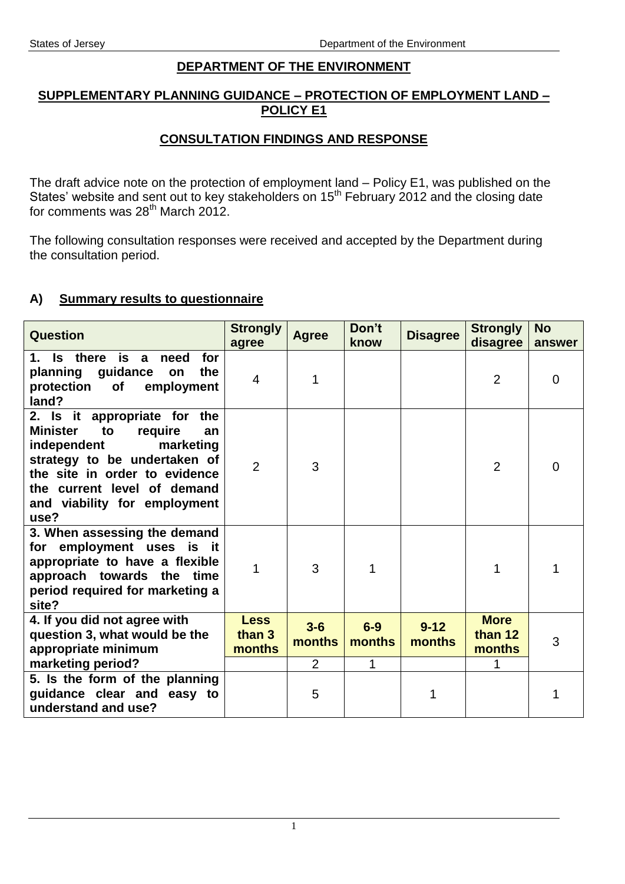#### **DEPARTMENT OF THE ENVIRONMENT**

#### **SUPPLEMENTARY PLANNING GUIDANCE – PROTECTION OF EMPLOYMENT LAND – POLICY E1**

### **CONSULTATION FINDINGS AND RESPONSE**

The draft advice note on the protection of employment land – Policy E1, was published on the States' website and sent out to key stakeholders on  $15<sup>th</sup>$  February 2012 and the closing date for comments was 28<sup>th</sup> March 2012.

The following consultation responses were received and accepted by the Department during the consultation period.

#### **A) Summary results to questionnaire**

| Question                                                                                                                                                                                                                                   | <b>Strongly</b><br>agree        | <b>Agree</b>    | Don't<br>know   | <b>Disagree</b>    | <b>Strongly</b><br>disagree      | <b>No</b><br>answer |
|--------------------------------------------------------------------------------------------------------------------------------------------------------------------------------------------------------------------------------------------|---------------------------------|-----------------|-----------------|--------------------|----------------------------------|---------------------|
| Is there is a<br>need<br>for<br>1.<br>guidance<br>planning<br>the<br>on<br>protection<br>employment<br><b>of</b><br>land?                                                                                                                  | $\overline{4}$                  | 1               |                 |                    | $\overline{2}$                   | 0                   |
| 2. Is it appropriate for the<br><b>Minister</b><br>to<br>require<br>an<br>marketing<br>independent<br>strategy to be undertaken of<br>the site in order to evidence<br>the current level of demand<br>and viability for employment<br>use? | $\overline{2}$                  | 3               |                 |                    | 2                                | $\overline{0}$      |
| 3. When assessing the demand<br>for employment uses is it<br>appropriate to have a flexible<br>approach towards the time<br>period required for marketing a<br>site?                                                                       | 1                               | 3               |                 |                    |                                  |                     |
| 4. If you did not agree with<br>question 3, what would be the<br>appropriate minimum                                                                                                                                                       | <b>Less</b><br>than 3<br>months | $3-6$<br>months | $6-9$<br>months | $9 - 12$<br>months | <b>More</b><br>than 12<br>months | 3                   |
| marketing period?                                                                                                                                                                                                                          |                                 | 2               | 1               |                    |                                  |                     |
| 5. Is the form of the planning<br>guidance clear and easy to<br>understand and use?                                                                                                                                                        |                                 | 5               |                 | 1                  |                                  |                     |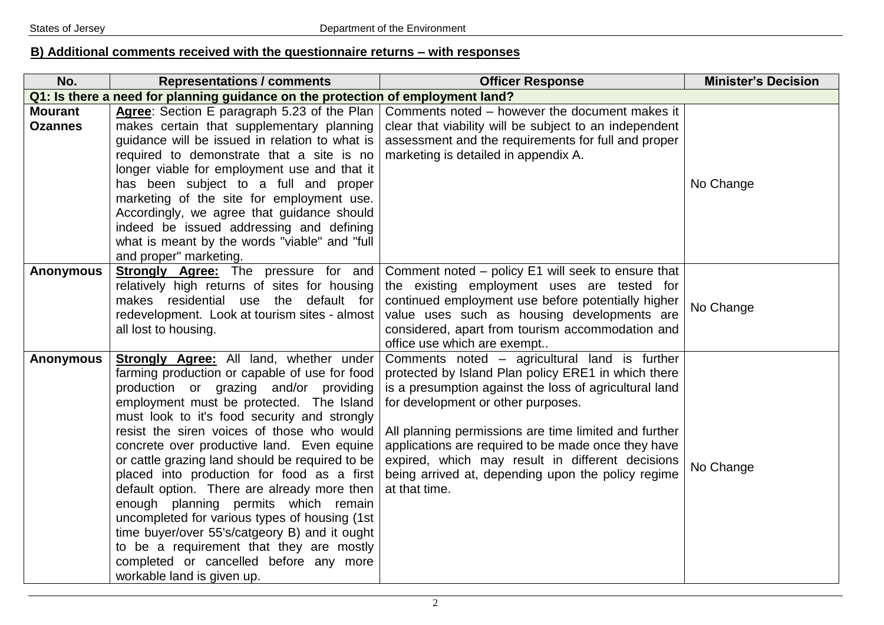## **B) Additional comments received with the questionnaire returns – with responses**

| No.                              | <b>Representations / comments</b>                                                                                                                                                                                                                                                                                                                                                                                                                                                                                                                                                                                                                                                                                                               | <b>Officer Response</b>                                                                                                                                                                                                                                                                                                                                                                                                                         | <b>Minister's Decision</b> |
|----------------------------------|-------------------------------------------------------------------------------------------------------------------------------------------------------------------------------------------------------------------------------------------------------------------------------------------------------------------------------------------------------------------------------------------------------------------------------------------------------------------------------------------------------------------------------------------------------------------------------------------------------------------------------------------------------------------------------------------------------------------------------------------------|-------------------------------------------------------------------------------------------------------------------------------------------------------------------------------------------------------------------------------------------------------------------------------------------------------------------------------------------------------------------------------------------------------------------------------------------------|----------------------------|
|                                  | Q1: Is there a need for planning guidance on the protection of employment land?                                                                                                                                                                                                                                                                                                                                                                                                                                                                                                                                                                                                                                                                 |                                                                                                                                                                                                                                                                                                                                                                                                                                                 |                            |
| <b>Mourant</b><br><b>Ozannes</b> | Agree: Section E paragraph 5.23 of the Plan<br>makes certain that supplementary planning<br>guidance will be issued in relation to what is<br>required to demonstrate that a site is no<br>longer viable for employment use and that it<br>has been subject to a full and proper<br>marketing of the site for employment use.<br>Accordingly, we agree that guidance should<br>indeed be issued addressing and defining<br>what is meant by the words "viable" and "full<br>and proper" marketing.                                                                                                                                                                                                                                              | Comments noted – however the document makes it<br>clear that viability will be subject to an independent<br>assessment and the requirements for full and proper<br>marketing is detailed in appendix A.                                                                                                                                                                                                                                         | No Change                  |
| <b>Anonymous</b>                 | <b>Strongly Agree:</b> The pressure for and<br>relatively high returns of sites for housing<br>makes residential use the default for<br>redevelopment. Look at tourism sites - almost<br>all lost to housing.                                                                                                                                                                                                                                                                                                                                                                                                                                                                                                                                   | Comment noted – policy E1 will seek to ensure that<br>the existing employment uses are tested for<br>continued employment use before potentially higher<br>value uses such as housing developments are<br>considered, apart from tourism accommodation and<br>office use which are exempt                                                                                                                                                       | No Change                  |
| <b>Anonymous</b>                 | <b>Strongly Agree:</b> All land, whether under<br>farming production or capable of use for food<br>production or grazing and/or providing<br>employment must be protected. The Island<br>must look to it's food security and strongly<br>resist the siren voices of those who would<br>concrete over productive land. Even equine<br>or cattle grazing land should be required to be<br>placed into production for food as a first<br>default option. There are already more then<br>enough planning permits which remain<br>uncompleted for various types of housing (1st<br>time buyer/over 55's/catgeory B) and it ought<br>to be a requirement that they are mostly<br>completed or cancelled before any more<br>workable land is given up. | Comments noted - agricultural land is further<br>protected by Island Plan policy ERE1 in which there<br>is a presumption against the loss of agricultural land<br>for development or other purposes.<br>All planning permissions are time limited and further<br>applications are required to be made once they have<br>expired, which may result in different decisions<br>being arrived at, depending upon the policy regime<br>at that time. | No Change                  |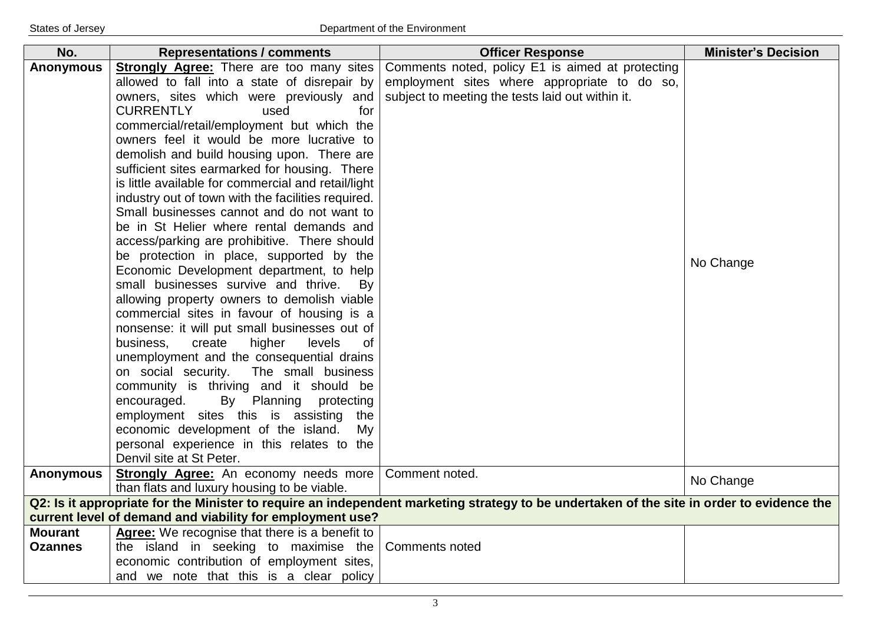| No.              | <b>Representations / comments</b>                                   | <b>Officer Response</b>                                                                                                                   | <b>Minister's Decision</b> |
|------------------|---------------------------------------------------------------------|-------------------------------------------------------------------------------------------------------------------------------------------|----------------------------|
| <b>Anonymous</b> | <b>Strongly Agree: There are too many sites</b>                     | Comments noted, policy E1 is aimed at protecting                                                                                          |                            |
|                  | allowed to fall into a state of disrepair by                        | employment sites where appropriate to do so,                                                                                              |                            |
|                  | owners, sites which were previously and                             | subject to meeting the tests laid out within it.                                                                                          |                            |
|                  | <b>CURRENTLY</b><br>used<br>for                                     |                                                                                                                                           |                            |
|                  | commercial/retail/employment but which the                          |                                                                                                                                           |                            |
|                  | owners feel it would be more lucrative to                           |                                                                                                                                           |                            |
|                  | demolish and build housing upon. There are                          |                                                                                                                                           |                            |
|                  | sufficient sites earmarked for housing. There                       |                                                                                                                                           |                            |
|                  | is little available for commercial and retail/light                 |                                                                                                                                           |                            |
|                  | industry out of town with the facilities required.                  |                                                                                                                                           |                            |
|                  | Small businesses cannot and do not want to                          |                                                                                                                                           |                            |
|                  | be in St Helier where rental demands and                            |                                                                                                                                           |                            |
|                  | access/parking are prohibitive. There should                        |                                                                                                                                           |                            |
|                  | be protection in place, supported by the                            |                                                                                                                                           | No Change                  |
|                  | Economic Development department, to help                            |                                                                                                                                           |                            |
|                  | small businesses survive and thrive.<br>By                          |                                                                                                                                           |                            |
|                  | allowing property owners to demolish viable                         |                                                                                                                                           |                            |
|                  | commercial sites in favour of housing is a                          |                                                                                                                                           |                            |
|                  | nonsense: it will put small businesses out of                       |                                                                                                                                           |                            |
|                  | business,<br>higher<br>create<br>levels<br><sub>of</sub>            |                                                                                                                                           |                            |
|                  | unemployment and the consequential drains                           |                                                                                                                                           |                            |
|                  | on social security.<br>The small business                           |                                                                                                                                           |                            |
|                  | community is thriving and it should be<br>encouraged.<br>protecting |                                                                                                                                           |                            |
|                  | By Planning<br>employment sites this is assisting<br>the            |                                                                                                                                           |                            |
|                  | economic development of the island.<br>My                           |                                                                                                                                           |                            |
|                  | personal experience in this relates to the                          |                                                                                                                                           |                            |
|                  | Denvil site at St Peter.                                            |                                                                                                                                           |                            |
| <b>Anonymous</b> | Strongly Agree: An economy needs more                               | Comment noted.                                                                                                                            |                            |
|                  | than flats and luxury housing to be viable.                         |                                                                                                                                           | No Change                  |
|                  |                                                                     | Q2: Is it appropriate for the Minister to require an independent marketing strategy to be undertaken of the site in order to evidence the |                            |
|                  | current level of demand and viability for employment use?           |                                                                                                                                           |                            |
| <b>Mourant</b>   | Agree: We recognise that there is a benefit to                      |                                                                                                                                           |                            |
| <b>Ozannes</b>   | the island in seeking to maximise the                               | <b>Comments noted</b>                                                                                                                     |                            |
|                  | economic contribution of employment sites,                          |                                                                                                                                           |                            |
|                  | and we note that this is a clear policy                             |                                                                                                                                           |                            |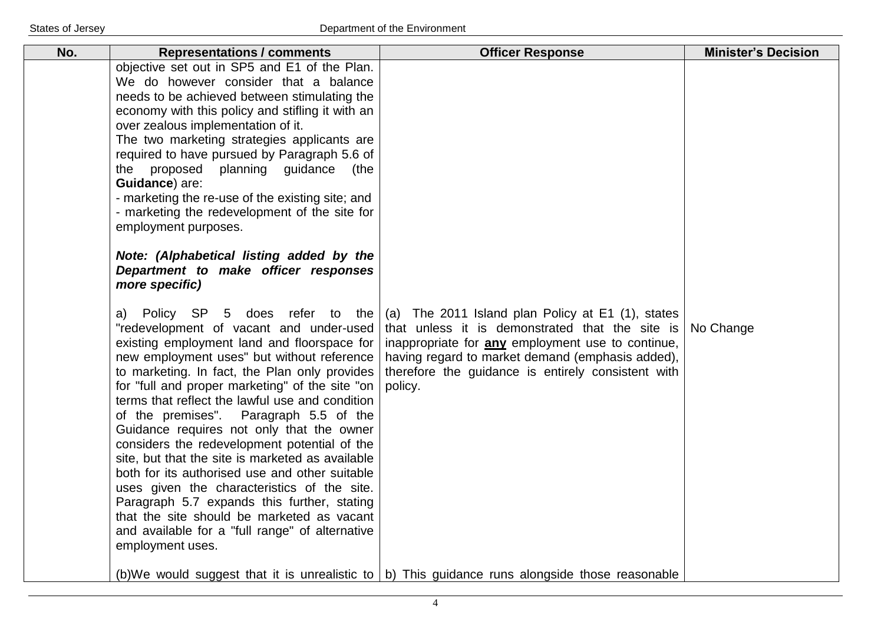| No. | <b>Representations / comments</b>                                                                                                                                                                                                                                                                                                                                                                                                                                                                                                                                                                                                                                                                                                                                                                                                                                                                                                                                                                                                                                                                                                                                                                                                                                                                                                                                                                                  | <b>Officer Response</b>                                                                                                                                                                                                                                                        | <b>Minister's Decision</b> |
|-----|--------------------------------------------------------------------------------------------------------------------------------------------------------------------------------------------------------------------------------------------------------------------------------------------------------------------------------------------------------------------------------------------------------------------------------------------------------------------------------------------------------------------------------------------------------------------------------------------------------------------------------------------------------------------------------------------------------------------------------------------------------------------------------------------------------------------------------------------------------------------------------------------------------------------------------------------------------------------------------------------------------------------------------------------------------------------------------------------------------------------------------------------------------------------------------------------------------------------------------------------------------------------------------------------------------------------------------------------------------------------------------------------------------------------|--------------------------------------------------------------------------------------------------------------------------------------------------------------------------------------------------------------------------------------------------------------------------------|----------------------------|
|     | objective set out in SP5 and E1 of the Plan.<br>We do however consider that a balance<br>needs to be achieved between stimulating the<br>economy with this policy and stifling it with an<br>over zealous implementation of it.<br>The two marketing strategies applicants are<br>required to have pursued by Paragraph 5.6 of<br>the proposed<br>planning guidance<br>(the<br>Guidance) are:<br>- marketing the re-use of the existing site; and<br>- marketing the redevelopment of the site for<br>employment purposes.<br>Note: (Alphabetical listing added by the<br>Department to make officer responses<br>more specific)<br>Policy SP 5 does refer to the<br>a)<br>"redevelopment of vacant and under-used<br>existing employment land and floorspace for<br>new employment uses" but without reference<br>to marketing. In fact, the Plan only provides<br>for "full and proper marketing" of the site "on<br>terms that reflect the lawful use and condition<br>of the premises". Paragraph 5.5 of the<br>Guidance requires not only that the owner<br>considers the redevelopment potential of the<br>site, but that the site is marketed as available<br>both for its authorised use and other suitable<br>uses given the characteristics of the site.<br>Paragraph 5.7 expands this further, stating<br>that the site should be marketed as vacant<br>and available for a "full range" of alternative | (a) The 2011 Island plan Policy at E1 (1), states<br>that unless it is demonstrated that the site is<br>inappropriate for any employment use to continue,<br>having regard to market demand (emphasis added),<br>therefore the guidance is entirely consistent with<br>policy. | No Change                  |
|     | employment uses.                                                                                                                                                                                                                                                                                                                                                                                                                                                                                                                                                                                                                                                                                                                                                                                                                                                                                                                                                                                                                                                                                                                                                                                                                                                                                                                                                                                                   | (b)We would suggest that it is unrealistic to $\vert$ b) This guidance runs alongside those reasonable                                                                                                                                                                         |                            |
|     |                                                                                                                                                                                                                                                                                                                                                                                                                                                                                                                                                                                                                                                                                                                                                                                                                                                                                                                                                                                                                                                                                                                                                                                                                                                                                                                                                                                                                    |                                                                                                                                                                                                                                                                                |                            |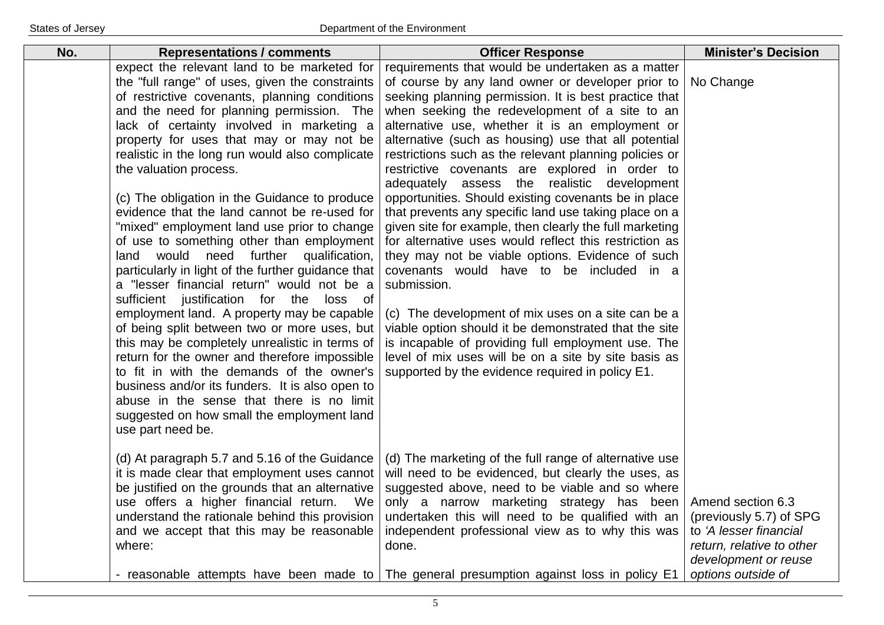| expect the relevant land to be marketed for<br>the "full range" of uses, given the constraints                                                                                                                                                                                                                                                                                                                                                                                                                                                                                                                                                                                                                                                                                                                                                                                                                                                                                                                                                                           | requirements that would be undertaken as a matter                                                                                                                                                                                                                                                                                                                                                                                                                                                                                                                                                                                                                                                                                                                                                                                                                                                                                                                                                                                                                        |                                                                                                                                                   |
|--------------------------------------------------------------------------------------------------------------------------------------------------------------------------------------------------------------------------------------------------------------------------------------------------------------------------------------------------------------------------------------------------------------------------------------------------------------------------------------------------------------------------------------------------------------------------------------------------------------------------------------------------------------------------------------------------------------------------------------------------------------------------------------------------------------------------------------------------------------------------------------------------------------------------------------------------------------------------------------------------------------------------------------------------------------------------|--------------------------------------------------------------------------------------------------------------------------------------------------------------------------------------------------------------------------------------------------------------------------------------------------------------------------------------------------------------------------------------------------------------------------------------------------------------------------------------------------------------------------------------------------------------------------------------------------------------------------------------------------------------------------------------------------------------------------------------------------------------------------------------------------------------------------------------------------------------------------------------------------------------------------------------------------------------------------------------------------------------------------------------------------------------------------|---------------------------------------------------------------------------------------------------------------------------------------------------|
| of restrictive covenants, planning conditions<br>and the need for planning permission. The<br>lack of certainty involved in marketing a<br>property for uses that may or may not be<br>realistic in the long run would also complicate<br>the valuation process.<br>(c) The obligation in the Guidance to produce<br>evidence that the land cannot be re-used for<br>"mixed" employment land use prior to change<br>of use to something other than employment<br>land would need further qualification,<br>particularly in light of the further guidance that<br>a "lesser financial return" would not be a<br>sufficient justification for the loss of<br>employment land. A property may be capable<br>of being split between two or more uses, but<br>this may be completely unrealistic in terms of<br>return for the owner and therefore impossible<br>to fit in with the demands of the owner's<br>business and/or its funders. It is also open to<br>abuse in the sense that there is no limit<br>suggested on how small the employment land<br>use part need be. | of course by any land owner or developer prior to<br>seeking planning permission. It is best practice that<br>when seeking the redevelopment of a site to an<br>alternative use, whether it is an employment or<br>alternative (such as housing) use that all potential<br>restrictions such as the relevant planning policies or<br>restrictive covenants are explored in order to<br>adequately assess the realistic development<br>opportunities. Should existing covenants be in place<br>that prevents any specific land use taking place on a<br>given site for example, then clearly the full marketing<br>for alternative uses would reflect this restriction as<br>they may not be viable options. Evidence of such<br>covenants would have to be included in a<br>submission.<br>(c) The development of mix uses on a site can be a<br>viable option should it be demonstrated that the site<br>is incapable of providing full employment use. The<br>level of mix uses will be on a site by site basis as<br>supported by the evidence required in policy E1. | No Change                                                                                                                                         |
| (d) At paragraph 5.7 and 5.16 of the Guidance<br>it is made clear that employment uses cannot<br>be justified on the grounds that an alternative<br>use offers a higher financial return. We<br>understand the rationale behind this provision<br>and we accept that this may be reasonable<br>where:                                                                                                                                                                                                                                                                                                                                                                                                                                                                                                                                                                                                                                                                                                                                                                    | (d) The marketing of the full range of alternative use<br>will need to be evidenced, but clearly the uses, as<br>suggested above, need to be viable and so where<br>only a narrow marketing strategy has been<br>undertaken this will need to be qualified with an<br>independent professional view as to why this was<br>done.<br>- reasonable attempts have been made to The general presumption against loss in policy E1                                                                                                                                                                                                                                                                                                                                                                                                                                                                                                                                                                                                                                             | Amend section 6.3<br>(previously 5.7) of SPG<br>to 'A lesser financial<br>return, relative to other<br>development or reuse<br>options outside of |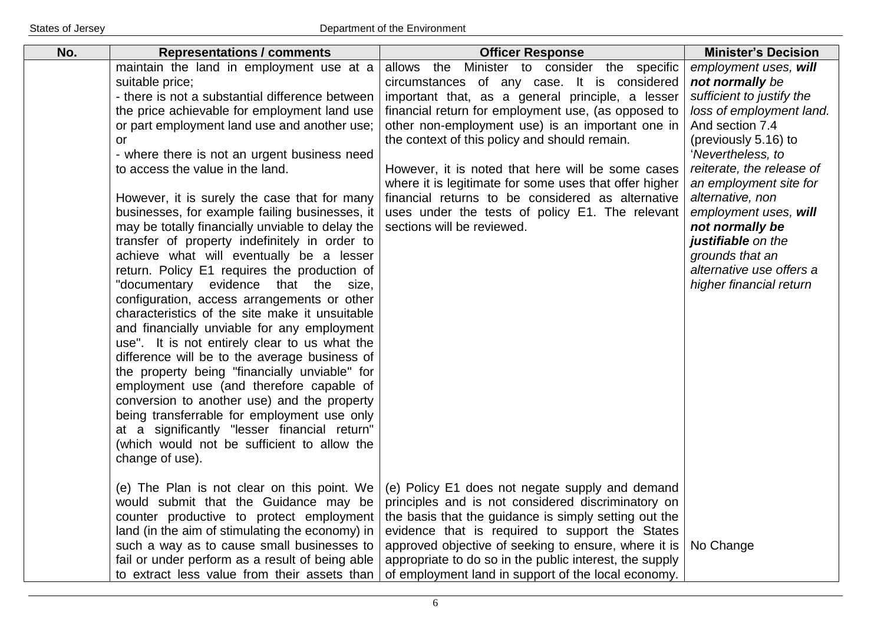| No. | <b>Representations / comments</b>                                                                                                                                                                                                                                                                                                                                                                                                                                                                                                                                                                                                                                                                                                                                                                                                                                                                                                                                                                                                                                                                                                                                                                                  | <b>Officer Response</b>                                                                                                                                                                                                                                                                                                                                                                                                                                                                                                                                             | <b>Minister's Decision</b>                                                                                                                                                                                                                                                                                                                                                               |
|-----|--------------------------------------------------------------------------------------------------------------------------------------------------------------------------------------------------------------------------------------------------------------------------------------------------------------------------------------------------------------------------------------------------------------------------------------------------------------------------------------------------------------------------------------------------------------------------------------------------------------------------------------------------------------------------------------------------------------------------------------------------------------------------------------------------------------------------------------------------------------------------------------------------------------------------------------------------------------------------------------------------------------------------------------------------------------------------------------------------------------------------------------------------------------------------------------------------------------------|---------------------------------------------------------------------------------------------------------------------------------------------------------------------------------------------------------------------------------------------------------------------------------------------------------------------------------------------------------------------------------------------------------------------------------------------------------------------------------------------------------------------------------------------------------------------|------------------------------------------------------------------------------------------------------------------------------------------------------------------------------------------------------------------------------------------------------------------------------------------------------------------------------------------------------------------------------------------|
|     | maintain the land in employment use at a<br>suitable price;<br>- there is not a substantial difference between<br>the price achievable for employment land use<br>or part employment land use and another use;<br>or<br>- where there is not an urgent business need<br>to access the value in the land.<br>However, it is surely the case that for many<br>businesses, for example failing businesses, it<br>may be totally financially unviable to delay the<br>transfer of property indefinitely in order to<br>achieve what will eventually be a lesser<br>return. Policy E1 requires the production of<br>"documentary evidence that the size,<br>configuration, access arrangements or other<br>characteristics of the site make it unsuitable<br>and financially unviable for any employment<br>use". It is not entirely clear to us what the<br>difference will be to the average business of<br>the property being "financially unviable" for<br>employment use (and therefore capable of<br>conversion to another use) and the property<br>being transferrable for employment use only<br>at a significantly "lesser financial return"<br>(which would not be sufficient to allow the<br>change of use). | Minister to consider the specific<br>allows the<br>circumstances of any case. It is considered<br>important that, as a general principle, a lesser<br>financial return for employment use, (as opposed to<br>other non-employment use) is an important one in<br>the context of this policy and should remain.<br>However, it is noted that here will be some cases<br>where it is legitimate for some uses that offer higher<br>financial returns to be considered as alternative<br>uses under the tests of policy E1. The relevant<br>sections will be reviewed. | employment uses, will<br>not normally be<br>sufficient to justify the<br>loss of employment land.<br>And section 7.4<br>(previously 5.16) to<br>'Nevertheless, to<br>reiterate, the release of<br>an employment site for<br>alternative, non<br>employment uses, will<br>not normally be<br>justifiable on the<br>grounds that an<br>alternative use offers a<br>higher financial return |
|     | (e) The Plan is not clear on this point. We<br>would submit that the Guidance may be<br>counter productive to protect employment<br>land (in the aim of stimulating the economy) in<br>such a way as to cause small businesses to<br>fail or under perform as a result of being able<br>to extract less value from their assets than                                                                                                                                                                                                                                                                                                                                                                                                                                                                                                                                                                                                                                                                                                                                                                                                                                                                               | (e) Policy E1 does not negate supply and demand<br>principles and is not considered discriminatory on<br>the basis that the guidance is simply setting out the<br>evidence that is required to support the States<br>approved objective of seeking to ensure, where it is<br>appropriate to do so in the public interest, the supply<br>of employment land in support of the local economy.                                                                                                                                                                         | No Change                                                                                                                                                                                                                                                                                                                                                                                |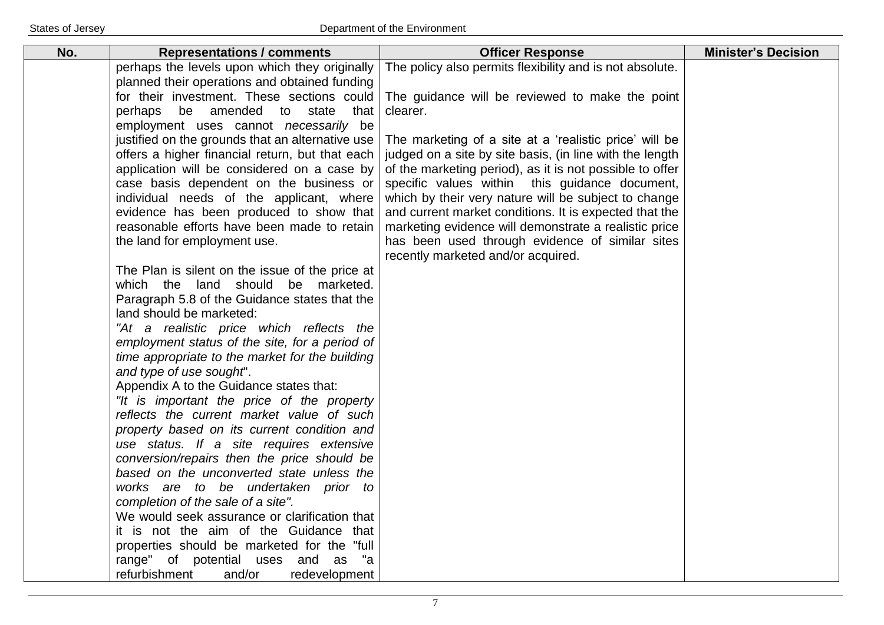| No. | <b>Representations / comments</b>                                                      | <b>Officer Response</b>                                                                                         | <b>Minister's Decision</b> |
|-----|----------------------------------------------------------------------------------------|-----------------------------------------------------------------------------------------------------------------|----------------------------|
|     | perhaps the levels upon which they originally                                          | The policy also permits flexibility and is not absolute.                                                        |                            |
|     | planned their operations and obtained funding                                          |                                                                                                                 |                            |
|     | for their investment. These sections could                                             | The guidance will be reviewed to make the point                                                                 |                            |
|     | be amended to state<br>perhaps<br>that                                                 | clearer.                                                                                                        |                            |
|     | employment uses cannot necessarily be                                                  |                                                                                                                 |                            |
|     | justified on the grounds that an alternative use                                       | The marketing of a site at a 'realistic price' will be                                                          |                            |
|     | offers a higher financial return, but that each                                        | judged on a site by site basis, (in line with the length                                                        |                            |
|     | application will be considered on a case by                                            | of the marketing period), as it is not possible to offer                                                        |                            |
|     | case basis dependent on the business or                                                | specific values within this guidance document,                                                                  |                            |
|     | individual needs of the applicant, where                                               | which by their very nature will be subject to change                                                            |                            |
|     | evidence has been produced to show that<br>reasonable efforts have been made to retain | and current market conditions. It is expected that the<br>marketing evidence will demonstrate a realistic price |                            |
|     | the land for employment use.                                                           | has been used through evidence of similar sites                                                                 |                            |
|     |                                                                                        | recently marketed and/or acquired.                                                                              |                            |
|     | The Plan is silent on the issue of the price at                                        |                                                                                                                 |                            |
|     | which the land should be marketed.                                                     |                                                                                                                 |                            |
|     | Paragraph 5.8 of the Guidance states that the                                          |                                                                                                                 |                            |
|     | land should be marketed:                                                               |                                                                                                                 |                            |
|     | "At a realistic price which reflects the                                               |                                                                                                                 |                            |
|     | employment status of the site, for a period of                                         |                                                                                                                 |                            |
|     | time appropriate to the market for the building                                        |                                                                                                                 |                            |
|     | and type of use sought".                                                               |                                                                                                                 |                            |
|     | Appendix A to the Guidance states that:                                                |                                                                                                                 |                            |
|     | "It is important the price of the property                                             |                                                                                                                 |                            |
|     | reflects the current market value of such                                              |                                                                                                                 |                            |
|     | property based on its current condition and                                            |                                                                                                                 |                            |
|     | use status. If a site requires extensive                                               |                                                                                                                 |                            |
|     | conversion/repairs then the price should be                                            |                                                                                                                 |                            |
|     | based on the unconverted state unless the                                              |                                                                                                                 |                            |
|     | works are to be undertaken prior to                                                    |                                                                                                                 |                            |
|     | completion of the sale of a site".<br>We would seek assurance or clarification that    |                                                                                                                 |                            |
|     | it is not the aim of the Guidance that                                                 |                                                                                                                 |                            |
|     | properties should be marketed for the "full"                                           |                                                                                                                 |                            |
|     | range" of potential uses and as<br>"a                                                  |                                                                                                                 |                            |
|     | refurbishment<br>and/or<br>redevelopment                                               |                                                                                                                 |                            |
|     |                                                                                        |                                                                                                                 |                            |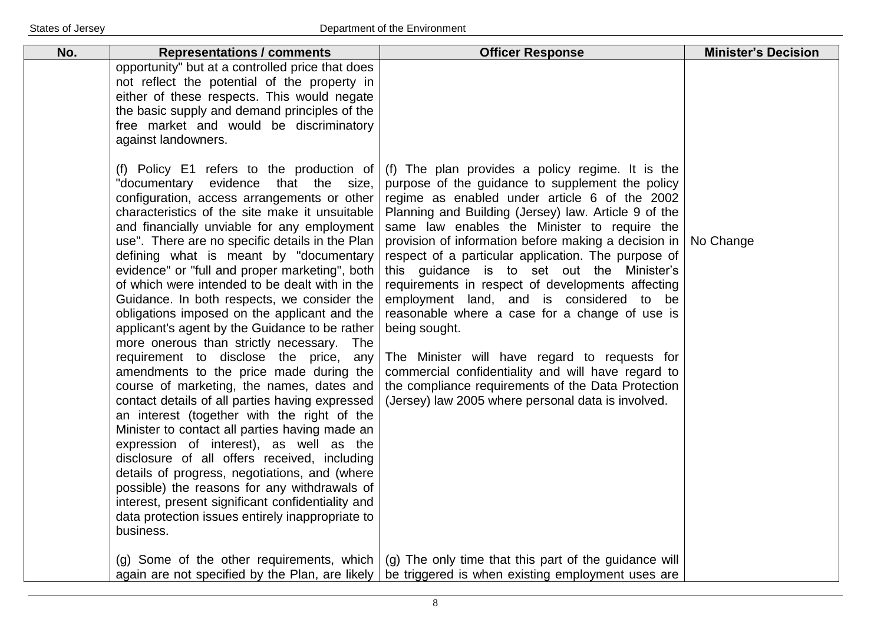| No. | <b>Representations / comments</b>                                                                                                                                                                                                                                                                                                                                                                                                                                                                                                                                                                                                                                                                                                                                                                                                                                                                                                                                                                                                                                                                                                                                                                                                        | <b>Officer Response</b>                                                                                                                                                                                                                                                                                                                                                                                                                                                                                                                                                                                                                                                                                                                                                                                           | <b>Minister's Decision</b> |
|-----|------------------------------------------------------------------------------------------------------------------------------------------------------------------------------------------------------------------------------------------------------------------------------------------------------------------------------------------------------------------------------------------------------------------------------------------------------------------------------------------------------------------------------------------------------------------------------------------------------------------------------------------------------------------------------------------------------------------------------------------------------------------------------------------------------------------------------------------------------------------------------------------------------------------------------------------------------------------------------------------------------------------------------------------------------------------------------------------------------------------------------------------------------------------------------------------------------------------------------------------|-------------------------------------------------------------------------------------------------------------------------------------------------------------------------------------------------------------------------------------------------------------------------------------------------------------------------------------------------------------------------------------------------------------------------------------------------------------------------------------------------------------------------------------------------------------------------------------------------------------------------------------------------------------------------------------------------------------------------------------------------------------------------------------------------------------------|----------------------------|
|     | opportunity" but at a controlled price that does<br>not reflect the potential of the property in<br>either of these respects. This would negate<br>the basic supply and demand principles of the<br>free market and would be discriminatory<br>against landowners.                                                                                                                                                                                                                                                                                                                                                                                                                                                                                                                                                                                                                                                                                                                                                                                                                                                                                                                                                                       |                                                                                                                                                                                                                                                                                                                                                                                                                                                                                                                                                                                                                                                                                                                                                                                                                   |                            |
|     | (f) Policy E1 refers to the production of<br>"documentary evidence that the size,<br>configuration, access arrangements or other<br>characteristics of the site make it unsuitable<br>and financially unviable for any employment<br>use". There are no specific details in the Plan<br>defining what is meant by "documentary<br>evidence" or "full and proper marketing", both<br>of which were intended to be dealt with in the<br>Guidance. In both respects, we consider the<br>obligations imposed on the applicant and the<br>applicant's agent by the Guidance to be rather<br>more onerous than strictly necessary. The<br>requirement to disclose the price, any<br>amendments to the price made during the<br>course of marketing, the names, dates and<br>contact details of all parties having expressed<br>an interest (together with the right of the<br>Minister to contact all parties having made an<br>expression of interest), as well as the<br>disclosure of all offers received, including<br>details of progress, negotiations, and (where<br>possible) the reasons for any withdrawals of<br>interest, present significant confidentiality and<br>data protection issues entirely inappropriate to<br>business. | (f) The plan provides a policy regime. It is the<br>purpose of the guidance to supplement the policy<br>regime as enabled under article 6 of the 2002<br>Planning and Building (Jersey) law. Article 9 of the<br>same law enables the Minister to require the<br>provision of information before making a decision in<br>respect of a particular application. The purpose of<br>this guidance is to set out the Minister's<br>requirements in respect of developments affecting<br>employment land, and is considered to be<br>reasonable where a case for a change of use is<br>being sought.<br>The Minister will have regard to requests for<br>commercial confidentiality and will have regard to<br>the compliance requirements of the Data Protection<br>(Jersey) law 2005 where personal data is involved. | No Change                  |
|     | again are not specified by the Plan, are likely                                                                                                                                                                                                                                                                                                                                                                                                                                                                                                                                                                                                                                                                                                                                                                                                                                                                                                                                                                                                                                                                                                                                                                                          | (g) Some of the other requirements, which $\mid$ (g) The only time that this part of the guidance will<br>be triggered is when existing employment uses are                                                                                                                                                                                                                                                                                                                                                                                                                                                                                                                                                                                                                                                       |                            |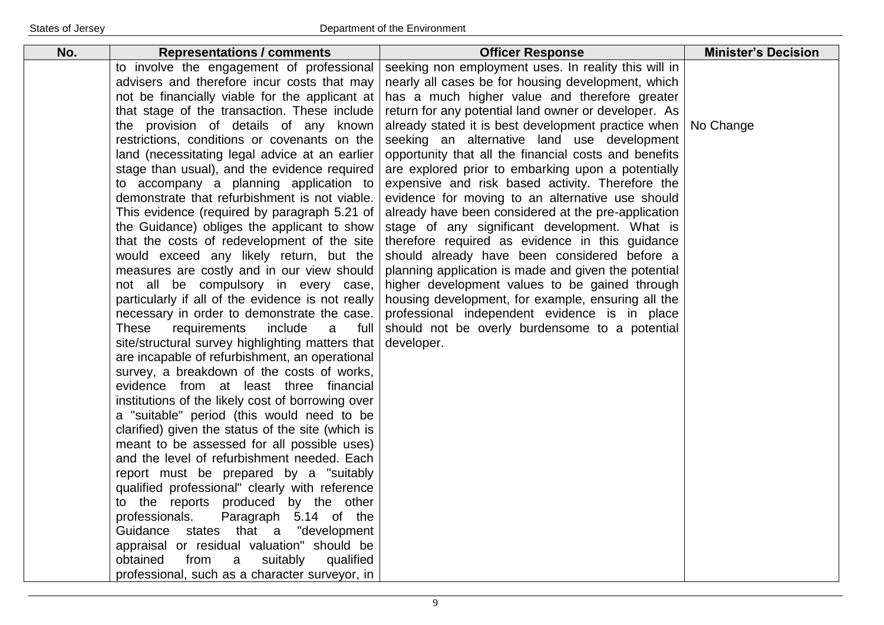| No. | <b>Representations / comments</b>                                                                                                                                                                                                                                                                                                                                                                                                                                                                                                                                                                                                                                                                                                                                                                                                                                                                                                                                                                           | <b>Officer Response</b>                                                                                                                                                                                                                                                                                                                                                                                                                                                                                                                                                                                                                                  | <b>Minister's Decision</b> |
|-----|-------------------------------------------------------------------------------------------------------------------------------------------------------------------------------------------------------------------------------------------------------------------------------------------------------------------------------------------------------------------------------------------------------------------------------------------------------------------------------------------------------------------------------------------------------------------------------------------------------------------------------------------------------------------------------------------------------------------------------------------------------------------------------------------------------------------------------------------------------------------------------------------------------------------------------------------------------------------------------------------------------------|----------------------------------------------------------------------------------------------------------------------------------------------------------------------------------------------------------------------------------------------------------------------------------------------------------------------------------------------------------------------------------------------------------------------------------------------------------------------------------------------------------------------------------------------------------------------------------------------------------------------------------------------------------|----------------------------|
|     | to involve the engagement of professional<br>advisers and therefore incur costs that may<br>not be financially viable for the applicant at<br>that stage of the transaction. These include<br>the provision of details of any known<br>restrictions, conditions or covenants on the<br>land (necessitating legal advice at an earlier<br>stage than usual), and the evidence required<br>to accompany a planning application to<br>demonstrate that refurbishment is not viable.<br>This evidence (required by paragraph 5.21 of<br>the Guidance) obliges the applicant to show                                                                                                                                                                                                                                                                                                                                                                                                                             | seeking non employment uses. In reality this will in<br>nearly all cases be for housing development, which<br>has a much higher value and therefore greater<br>return for any potential land owner or developer. As<br>already stated it is best development practice when<br>seeking an alternative land use development<br>opportunity that all the financial costs and benefits<br>are explored prior to embarking upon a potentially<br>expensive and risk based activity. Therefore the<br>evidence for moving to an alternative use should<br>already have been considered at the pre-application<br>stage of any significant development. What is | No Change                  |
|     | that the costs of redevelopment of the site<br>would exceed any likely return, but the<br>measures are costly and in our view should<br>not all be compulsory in every case,<br>particularly if all of the evidence is not really<br>necessary in order to demonstrate the case.<br>These<br>requirements<br>include<br>a<br>full<br>site/structural survey highlighting matters that<br>are incapable of refurbishment, an operational<br>survey, a breakdown of the costs of works,<br>evidence from at least three financial<br>institutions of the likely cost of borrowing over<br>a "suitable" period (this would need to be<br>clarified) given the status of the site (which is<br>meant to be assessed for all possible uses)<br>and the level of refurbishment needed. Each<br>report must be prepared by a "suitably<br>qualified professional" clearly with reference<br>to the reports produced by the other<br>Paragraph 5.14 of the<br>professionals.<br>Guidance states that a "development | therefore required as evidence in this guidance<br>should already have been considered before a<br>planning application is made and given the potential<br>higher development values to be gained through<br>housing development, for example, ensuring all the<br>professional independent evidence is in place<br>should not be overly burdensome to a potential<br>developer.                                                                                                                                                                                                                                                                         |                            |
|     | appraisal or residual valuation" should be<br>obtained<br>from<br>suitably<br>qualified<br>a<br>professional, such as a character surveyor, in                                                                                                                                                                                                                                                                                                                                                                                                                                                                                                                                                                                                                                                                                                                                                                                                                                                              |                                                                                                                                                                                                                                                                                                                                                                                                                                                                                                                                                                                                                                                          |                            |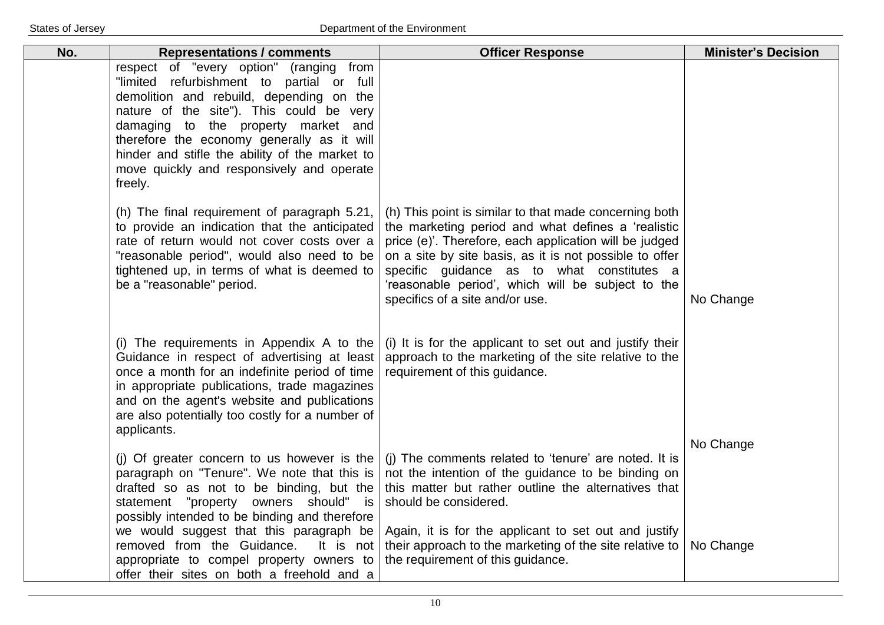| No. | <b>Representations / comments</b>                                                                                                                                                                                                                                                                                                                                           | <b>Officer Response</b>                                                                                                                                                                                                                                                                                                                                                 | <b>Minister's Decision</b> |
|-----|-----------------------------------------------------------------------------------------------------------------------------------------------------------------------------------------------------------------------------------------------------------------------------------------------------------------------------------------------------------------------------|-------------------------------------------------------------------------------------------------------------------------------------------------------------------------------------------------------------------------------------------------------------------------------------------------------------------------------------------------------------------------|----------------------------|
|     | respect of "every option" (ranging from<br>"limited refurbishment to partial or full<br>demolition and rebuild, depending on the<br>nature of the site"). This could be very<br>damaging to the property market and<br>therefore the economy generally as it will<br>hinder and stifle the ability of the market to<br>move quickly and responsively and operate<br>freely. |                                                                                                                                                                                                                                                                                                                                                                         |                            |
|     | (h) The final requirement of paragraph 5.21,<br>to provide an indication that the anticipated<br>rate of return would not cover costs over a<br>"reasonable period", would also need to be<br>tightened up, in terms of what is deemed to<br>be a "reasonable" period.                                                                                                      | (h) This point is similar to that made concerning both<br>the marketing period and what defines a 'realistic<br>price (e)'. Therefore, each application will be judged<br>on a site by site basis, as it is not possible to offer<br>specific guidance as to what constitutes a<br>'reasonable period', which will be subject to the<br>specifics of a site and/or use. | No Change                  |
|     | (i) The requirements in Appendix A to the<br>Guidance in respect of advertising at least<br>once a month for an indefinite period of time<br>in appropriate publications, trade magazines<br>and on the agent's website and publications<br>are also potentially too costly for a number of<br>applicants.                                                                  | (i) It is for the applicant to set out and justify their<br>approach to the marketing of the site relative to the<br>requirement of this guidance.                                                                                                                                                                                                                      |                            |
|     | (i) Of greater concern to us however is the<br>paragraph on "Tenure". We note that this is<br>drafted so as not to be binding, but the<br>statement "property owners should" is<br>possibly intended to be binding and therefore<br>we would suggest that this paragraph be<br>removed from the Guidance.<br>It is not<br>appropriate to compel property owners to          | (i) The comments related to 'tenure' are noted. It is<br>not the intention of the guidance to be binding on<br>this matter but rather outline the alternatives that<br>should be considered.<br>Again, it is for the applicant to set out and justify<br>their approach to the marketing of the site relative to<br>the requirement of this guidance.                   | No Change<br>No Change     |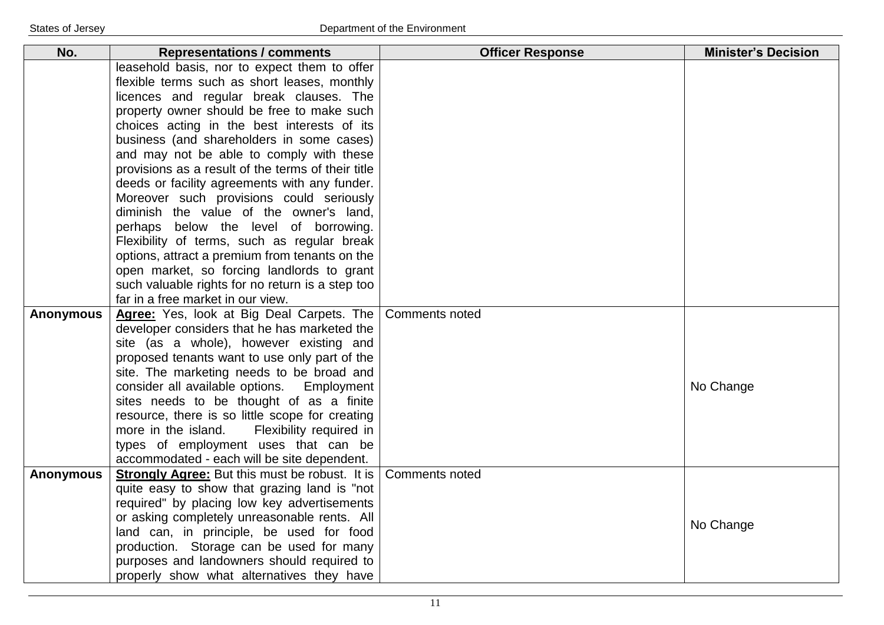| No.              | <b>Representations / comments</b>                                                    | <b>Officer Response</b> | <b>Minister's Decision</b> |
|------------------|--------------------------------------------------------------------------------------|-------------------------|----------------------------|
|                  | leasehold basis, nor to expect them to offer                                         |                         |                            |
|                  | flexible terms such as short leases, monthly                                         |                         |                            |
|                  | licences and regular break clauses. The                                              |                         |                            |
|                  | property owner should be free to make such                                           |                         |                            |
|                  | choices acting in the best interests of its                                          |                         |                            |
|                  | business (and shareholders in some cases)                                            |                         |                            |
|                  | and may not be able to comply with these                                             |                         |                            |
|                  | provisions as a result of the terms of their title                                   |                         |                            |
|                  | deeds or facility agreements with any funder.                                        |                         |                            |
|                  | Moreover such provisions could seriously                                             |                         |                            |
|                  | diminish the value of the owner's land,                                              |                         |                            |
|                  | perhaps below the level of borrowing.                                                |                         |                            |
|                  | Flexibility of terms, such as regular break                                          |                         |                            |
|                  | options, attract a premium from tenants on the                                       |                         |                            |
|                  | open market, so forcing landlords to grant                                           |                         |                            |
|                  | such valuable rights for no return is a step too                                     |                         |                            |
|                  | far in a free market in our view.                                                    |                         |                            |
| <b>Anonymous</b> | Agree: Yes, look at Big Deal Carpets. The                                            | <b>Comments noted</b>   |                            |
|                  | developer considers that he has marketed the                                         |                         |                            |
|                  | site (as a whole), however existing and                                              |                         |                            |
|                  | proposed tenants want to use only part of the                                        |                         |                            |
|                  | site. The marketing needs to be broad and                                            |                         |                            |
|                  | consider all available options.<br>Employment                                        |                         | No Change                  |
|                  | sites needs to be thought of as a finite                                             |                         |                            |
|                  | resource, there is so little scope for creating                                      |                         |                            |
|                  | more in the island.<br>Flexibility required in                                       |                         |                            |
|                  | types of employment uses that can be                                                 |                         |                            |
|                  | accommodated - each will be site dependent.                                          |                         |                            |
| <b>Anonymous</b> | <b>Strongly Agree:</b> But this must be robust. It is                                | <b>Comments noted</b>   |                            |
|                  | quite easy to show that grazing land is "not                                         |                         |                            |
|                  | required" by placing low key advertisements                                          |                         |                            |
|                  | or asking completely unreasonable rents. All                                         |                         | No Change                  |
|                  | land can, in principle, be used for food<br>production. Storage can be used for many |                         |                            |
|                  | purposes and landowners should required to                                           |                         |                            |
|                  |                                                                                      |                         |                            |
|                  | properly show what alternatives they have                                            |                         |                            |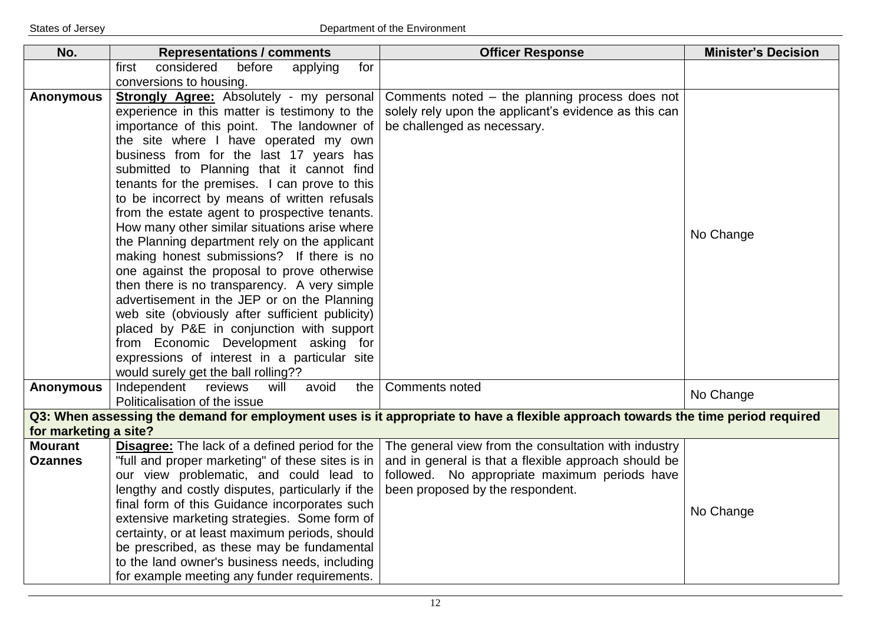| No.                   | <b>Representations / comments</b>                                                     | <b>Officer Response</b>                                                                                                          | <b>Minister's Decision</b> |
|-----------------------|---------------------------------------------------------------------------------------|----------------------------------------------------------------------------------------------------------------------------------|----------------------------|
|                       | considered<br>before<br>first<br>applying<br>for                                      |                                                                                                                                  |                            |
|                       | conversions to housing.                                                               |                                                                                                                                  |                            |
| <b>Anonymous</b>      | Strongly Agree: Absolutely - my personal                                              | Comments noted - the planning process does not                                                                                   |                            |
|                       | experience in this matter is testimony to the                                         | solely rely upon the applicant's evidence as this can                                                                            |                            |
|                       | importance of this point. The landowner of                                            | be challenged as necessary.                                                                                                      |                            |
|                       | the site where I have operated my own                                                 |                                                                                                                                  |                            |
|                       | business from for the last 17 years has                                               |                                                                                                                                  |                            |
|                       | submitted to Planning that it cannot find                                             |                                                                                                                                  |                            |
|                       | tenants for the premises. I can prove to this                                         |                                                                                                                                  |                            |
|                       | to be incorrect by means of written refusals                                          |                                                                                                                                  |                            |
|                       | from the estate agent to prospective tenants.                                         |                                                                                                                                  |                            |
|                       | How many other similar situations arise where                                         |                                                                                                                                  | No Change                  |
|                       | the Planning department rely on the applicant                                         |                                                                                                                                  |                            |
|                       | making honest submissions? If there is no                                             |                                                                                                                                  |                            |
|                       | one against the proposal to prove otherwise                                           |                                                                                                                                  |                            |
|                       | then there is no transparency. A very simple                                          |                                                                                                                                  |                            |
|                       | advertisement in the JEP or on the Planning                                           |                                                                                                                                  |                            |
|                       | web site (obviously after sufficient publicity)                                       |                                                                                                                                  |                            |
|                       | placed by P&E in conjunction with support                                             |                                                                                                                                  |                            |
|                       | from Economic Development asking for                                                  |                                                                                                                                  |                            |
|                       | expressions of interest in a particular site                                          |                                                                                                                                  |                            |
| <b>Anonymous</b>      | would surely get the ball rolling??<br>Independent<br>reviews<br>will<br>avoid<br>the | <b>Comments noted</b>                                                                                                            |                            |
|                       | Politicalisation of the issue                                                         |                                                                                                                                  | No Change                  |
|                       |                                                                                       | Q3: When assessing the demand for employment uses is it appropriate to have a flexible approach towards the time period required |                            |
| for marketing a site? |                                                                                       |                                                                                                                                  |                            |
| <b>Mourant</b>        | <b>Disagree:</b> The lack of a defined period for the                                 | The general view from the consultation with industry                                                                             |                            |
| <b>Ozannes</b>        | "full and proper marketing" of these sites is in                                      | and in general is that a flexible approach should be                                                                             |                            |
|                       | our view problematic, and could lead to                                               | followed. No appropriate maximum periods have                                                                                    |                            |
|                       | lengthy and costly disputes, particularly if the                                      | been proposed by the respondent.                                                                                                 |                            |
|                       | final form of this Guidance incorporates such                                         |                                                                                                                                  | No Change                  |
|                       | extensive marketing strategies. Some form of                                          |                                                                                                                                  |                            |
|                       | certainty, or at least maximum periods, should                                        |                                                                                                                                  |                            |
|                       | be prescribed, as these may be fundamental                                            |                                                                                                                                  |                            |
|                       | to the land owner's business needs, including                                         |                                                                                                                                  |                            |
|                       | for example meeting any funder requirements.                                          |                                                                                                                                  |                            |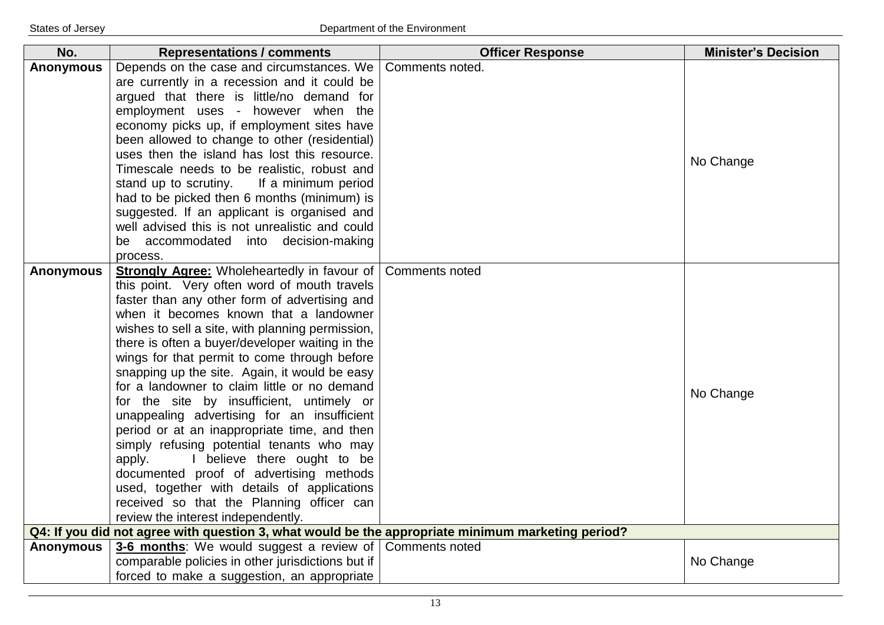| No.              | <b>Representations / comments</b>                                                                                                       | <b>Officer Response</b> | <b>Minister's Decision</b> |
|------------------|-----------------------------------------------------------------------------------------------------------------------------------------|-------------------------|----------------------------|
| <b>Anonymous</b> | Depends on the case and circumstances. We                                                                                               | Comments noted.         |                            |
|                  | are currently in a recession and it could be                                                                                            |                         |                            |
|                  | argued that there is little/no demand for                                                                                               |                         |                            |
|                  | employment uses - however when the                                                                                                      |                         |                            |
|                  | economy picks up, if employment sites have                                                                                              |                         |                            |
|                  | been allowed to change to other (residential)                                                                                           |                         |                            |
|                  | uses then the island has lost this resource.                                                                                            |                         | No Change                  |
|                  | Timescale needs to be realistic, robust and                                                                                             |                         |                            |
|                  | stand up to scrutiny. If a minimum period                                                                                               |                         |                            |
|                  | had to be picked then 6 months (minimum) is                                                                                             |                         |                            |
|                  | suggested. If an applicant is organised and                                                                                             |                         |                            |
|                  | well advised this is not unrealistic and could                                                                                          |                         |                            |
|                  | be accommodated into decision-making                                                                                                    |                         |                            |
|                  | process.                                                                                                                                |                         |                            |
| <b>Anonymous</b> | <b>Strongly Agree:</b> Wholeheartedly in favour of Comments noted                                                                       |                         |                            |
|                  | this point. Very often word of mouth travels                                                                                            |                         |                            |
|                  | faster than any other form of advertising and                                                                                           |                         |                            |
|                  | when it becomes known that a landowner                                                                                                  |                         |                            |
|                  | wishes to sell a site, with planning permission,                                                                                        |                         |                            |
|                  | there is often a buyer/developer waiting in the                                                                                         |                         |                            |
|                  | wings for that permit to come through before                                                                                            |                         |                            |
|                  | snapping up the site. Again, it would be easy                                                                                           |                         |                            |
|                  | for a landowner to claim little or no demand                                                                                            |                         | No Change                  |
|                  | for the site by insufficient, untimely or                                                                                               |                         |                            |
|                  | unappealing advertising for an insufficient                                                                                             |                         |                            |
|                  | period or at an inappropriate time, and then                                                                                            |                         |                            |
|                  | simply refusing potential tenants who may                                                                                               |                         |                            |
|                  | I believe there ought to be<br>apply.                                                                                                   |                         |                            |
|                  | documented proof of advertising methods                                                                                                 |                         |                            |
|                  | used, together with details of applications                                                                                             |                         |                            |
|                  | received so that the Planning officer can                                                                                               |                         |                            |
|                  | review the interest independently.<br>Q4: If you did not agree with question 3, what would be the appropriate minimum marketing period? |                         |                            |
| <b>Anonymous</b> | <b>3-6 months:</b> We would suggest a review of Comments noted                                                                          |                         |                            |
|                  | comparable policies in other jurisdictions but if                                                                                       |                         | No Change                  |
|                  | forced to make a suggestion, an appropriate                                                                                             |                         |                            |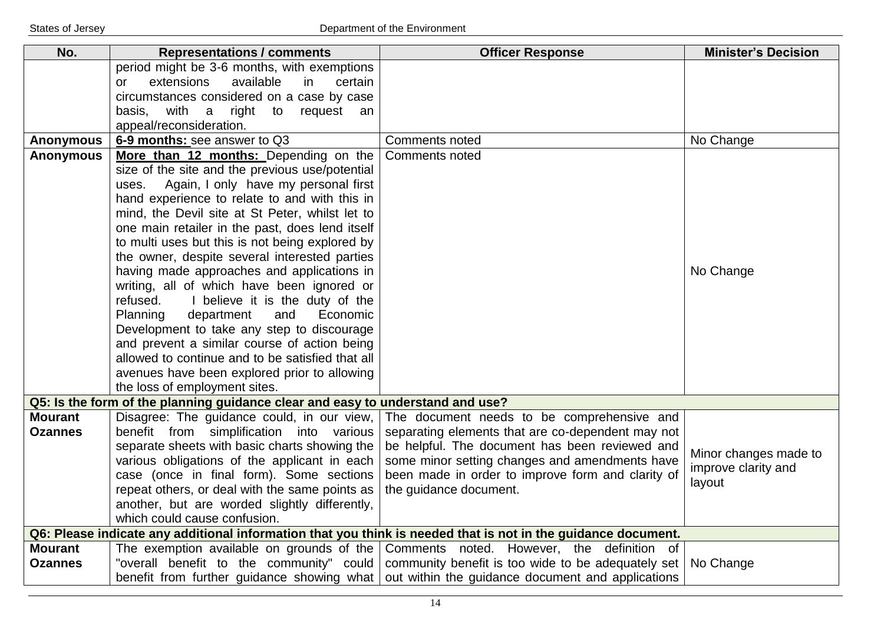| No.              | <b>Representations / comments</b>                                              | <b>Officer Response</b>                                                                                       | <b>Minister's Decision</b> |
|------------------|--------------------------------------------------------------------------------|---------------------------------------------------------------------------------------------------------------|----------------------------|
|                  | period might be 3-6 months, with exemptions                                    |                                                                                                               |                            |
|                  | extensions<br>available<br>in<br>certain<br><b>or</b>                          |                                                                                                               |                            |
|                  | circumstances considered on a case by case                                     |                                                                                                               |                            |
|                  | with a right to<br>request<br>basis,<br>an                                     |                                                                                                               |                            |
|                  | appeal/reconsideration.                                                        |                                                                                                               |                            |
| <b>Anonymous</b> | 6-9 months: see answer to Q3                                                   | <b>Comments noted</b>                                                                                         | No Change                  |
| <b>Anonymous</b> | More than 12 months: Depending on the                                          | <b>Comments noted</b>                                                                                         |                            |
|                  | size of the site and the previous use/potential                                |                                                                                                               |                            |
|                  | Again, I only have my personal first<br>uses.                                  |                                                                                                               |                            |
|                  | hand experience to relate to and with this in                                  |                                                                                                               |                            |
|                  | mind, the Devil site at St Peter, whilst let to                                |                                                                                                               |                            |
|                  | one main retailer in the past, does lend itself                                |                                                                                                               |                            |
|                  | to multi uses but this is not being explored by                                |                                                                                                               |                            |
|                  | the owner, despite several interested parties                                  |                                                                                                               |                            |
|                  | having made approaches and applications in                                     |                                                                                                               | No Change                  |
|                  | writing, all of which have been ignored or                                     |                                                                                                               |                            |
|                  | refused.<br>I believe it is the duty of the                                    |                                                                                                               |                            |
|                  | department<br><b>Planning</b><br>and<br>Economic                               |                                                                                                               |                            |
|                  | Development to take any step to discourage                                     |                                                                                                               |                            |
|                  | and prevent a similar course of action being                                   |                                                                                                               |                            |
|                  | allowed to continue and to be satisfied that all                               |                                                                                                               |                            |
|                  | avenues have been explored prior to allowing                                   |                                                                                                               |                            |
|                  | the loss of employment sites.                                                  |                                                                                                               |                            |
|                  | Q5: Is the form of the planning guidance clear and easy to understand and use? |                                                                                                               |                            |
| <b>Mourant</b>   | Disagree: The guidance could, in our view,                                     | The document needs to be comprehensive and                                                                    |                            |
| <b>Ozannes</b>   | benefit from simplification into various                                       | separating elements that are co-dependent may not                                                             |                            |
|                  | separate sheets with basic charts showing the                                  | be helpful. The document has been reviewed and                                                                | Minor changes made to      |
|                  | various obligations of the applicant in each                                   | some minor setting changes and amendments have                                                                | improve clarity and        |
|                  | case (once in final form). Some sections                                       | been made in order to improve form and clarity of                                                             | layout                     |
|                  | repeat others, or deal with the same points as                                 | the guidance document.                                                                                        |                            |
|                  | another, but are worded slightly differently,                                  |                                                                                                               |                            |
|                  | which could cause confusion.                                                   |                                                                                                               |                            |
|                  |                                                                                | Q6: Please indicate any additional information that you think is needed that is not in the guidance document. |                            |
| <b>Mourant</b>   |                                                                                | The exemption available on grounds of the Comments noted. However, the definition of                          |                            |
| <b>Ozannes</b>   |                                                                                | "overall benefit to the community" could   community benefit is too wide to be adequately set                 | No Change                  |
|                  |                                                                                | benefit from further guidance showing what out within the guidance document and applications                  |                            |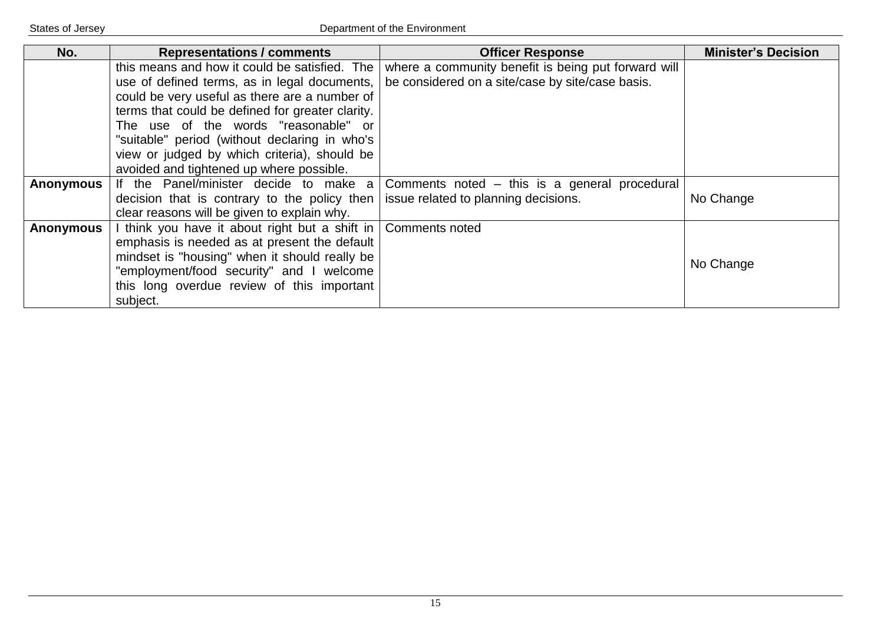| No.              | <b>Representations / comments</b>                             | <b>Officer Response</b>                             | <b>Minister's Decision</b> |
|------------------|---------------------------------------------------------------|-----------------------------------------------------|----------------------------|
|                  | this means and how it could be satisfied. The                 | where a community benefit is being put forward will |                            |
|                  | use of defined terms, as in legal documents,                  | be considered on a site/case by site/case basis.    |                            |
|                  | could be very useful as there are a number of                 |                                                     |                            |
|                  | terms that could be defined for greater clarity.              |                                                     |                            |
|                  | The use of the words "reasonable" or                          |                                                     |                            |
|                  | "suitable" period (without declaring in who's                 |                                                     |                            |
|                  | view or judged by which criteria), should be                  |                                                     |                            |
|                  | avoided and tightened up where possible.                      |                                                     |                            |
| <b>Anonymous</b> | If the Panel/minister decide to make a                        | Comments noted – this is a general procedural       |                            |
|                  | decision that is contrary to the policy then                  | issue related to planning decisions.                | No Change                  |
|                  | clear reasons will be given to explain why.                   |                                                     |                            |
| <b>Anonymous</b> | I think you have it about right but a shift in Comments noted |                                                     |                            |
|                  | emphasis is needed as at present the default                  |                                                     |                            |
|                  | mindset is "housing" when it should really be                 |                                                     |                            |
|                  | "employment/food security" and I welcome                      |                                                     | No Change                  |
|                  | this long overdue review of this important                    |                                                     |                            |
|                  | subject.                                                      |                                                     |                            |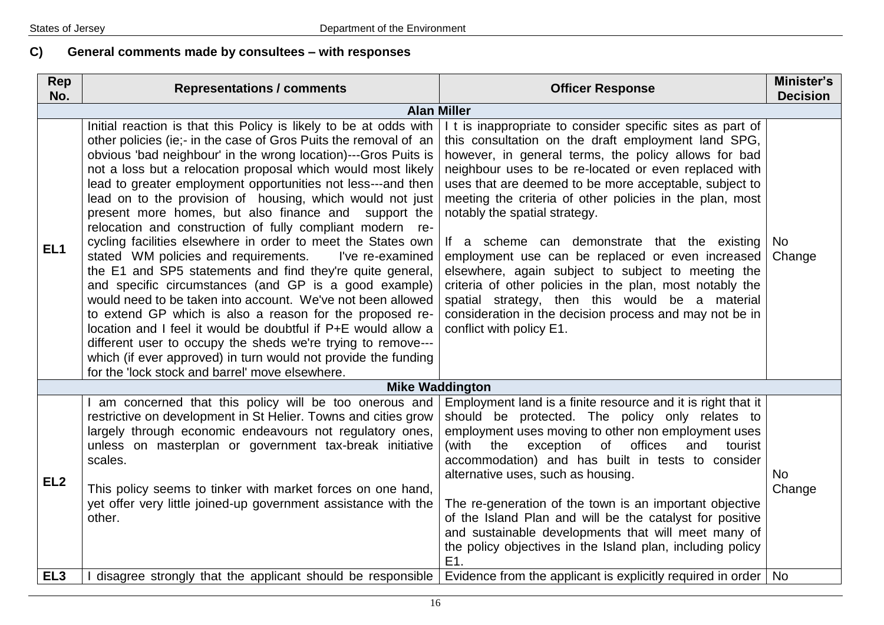# **C) General comments made by consultees – with responses**

| Rep<br>No.      | <b>Representations / comments</b>                                                                                                                                                                                                                                                                                                                                                                                                                                                                                                                                                                                                                                                                                                                                                                                                                                                                                                                                                                                                                                                                                                                            | <b>Officer Response</b>                                                                                                                                                                                                                                                                                                                                                                                                                                                                                                                                                                                                                                                                                                                                    | Minister's<br><b>Decision</b> |
|-----------------|--------------------------------------------------------------------------------------------------------------------------------------------------------------------------------------------------------------------------------------------------------------------------------------------------------------------------------------------------------------------------------------------------------------------------------------------------------------------------------------------------------------------------------------------------------------------------------------------------------------------------------------------------------------------------------------------------------------------------------------------------------------------------------------------------------------------------------------------------------------------------------------------------------------------------------------------------------------------------------------------------------------------------------------------------------------------------------------------------------------------------------------------------------------|------------------------------------------------------------------------------------------------------------------------------------------------------------------------------------------------------------------------------------------------------------------------------------------------------------------------------------------------------------------------------------------------------------------------------------------------------------------------------------------------------------------------------------------------------------------------------------------------------------------------------------------------------------------------------------------------------------------------------------------------------------|-------------------------------|
|                 | <b>Alan Miller</b>                                                                                                                                                                                                                                                                                                                                                                                                                                                                                                                                                                                                                                                                                                                                                                                                                                                                                                                                                                                                                                                                                                                                           |                                                                                                                                                                                                                                                                                                                                                                                                                                                                                                                                                                                                                                                                                                                                                            |                               |
| EL <sub>1</sub> | Initial reaction is that this Policy is likely to be at odds with<br>other policies (ie:- in the case of Gros Puits the removal of an<br>obvious 'bad neighbour' in the wrong location)---Gros Puits is<br>not a loss but a relocation proposal which would most likely<br>lead to greater employment opportunities not less---and then<br>lead on to the provision of housing, which would not just<br>present more homes, but also finance and support the<br>relocation and construction of fully compliant modern re-<br>cycling facilities elsewhere in order to meet the States own<br>stated WM policies and requirements.<br>I've re-examined<br>the E1 and SP5 statements and find they're quite general,<br>and specific circumstances (and GP is a good example)<br>would need to be taken into account. We've not been allowed<br>to extend GP which is also a reason for the proposed re-<br>location and I feel it would be doubtful if P+E would allow a<br>different user to occupy the sheds we're trying to remove---<br>which (if ever approved) in turn would not provide the funding<br>for the 'lock stock and barrel' move elsewhere. | I t is inappropriate to consider specific sites as part of<br>this consultation on the draft employment land SPG,<br>however, in general terms, the policy allows for bad<br>neighbour uses to be re-located or even replaced with<br>uses that are deemed to be more acceptable, subject to<br>meeting the criteria of other policies in the plan, most<br>notably the spatial strategy.<br>If a scheme can demonstrate that the existing<br>employment use can be replaced or even increased<br>elsewhere, again subject to subject to meeting the<br>criteria of other policies in the plan, most notably the<br>spatial strategy, then this would be a material<br>consideration in the decision process and may not be in<br>conflict with policy E1. | No.<br>Change                 |
|                 |                                                                                                                                                                                                                                                                                                                                                                                                                                                                                                                                                                                                                                                                                                                                                                                                                                                                                                                                                                                                                                                                                                                                                              | <b>Mike Waddington</b>                                                                                                                                                                                                                                                                                                                                                                                                                                                                                                                                                                                                                                                                                                                                     |                               |
| EL <sub>2</sub> | am concerned that this policy will be too onerous and<br>restrictive on development in St Helier. Towns and cities grow<br>largely through economic endeavours not regulatory ones,<br>unless on masterplan or government tax-break initiative<br>scales.<br>This policy seems to tinker with market forces on one hand,<br>yet offer very little joined-up government assistance with the<br>other.                                                                                                                                                                                                                                                                                                                                                                                                                                                                                                                                                                                                                                                                                                                                                         | Employment land is a finite resource and it is right that it<br>should be protected. The policy only relates to<br>employment uses moving to other non employment uses<br>of offices<br>(with<br>exception<br>the<br>and<br>tourist<br>accommodation) and has built in tests to consider<br>alternative uses, such as housing.<br>The re-generation of the town is an important objective<br>of the Island Plan and will be the catalyst for positive<br>and sustainable developments that will meet many of<br>the policy objectives in the Island plan, including policy<br>E1.                                                                                                                                                                          | No<br>Change                  |
| EL <sub>3</sub> | disagree strongly that the applicant should be responsible                                                                                                                                                                                                                                                                                                                                                                                                                                                                                                                                                                                                                                                                                                                                                                                                                                                                                                                                                                                                                                                                                                   | Evidence from the applicant is explicitly required in order   No                                                                                                                                                                                                                                                                                                                                                                                                                                                                                                                                                                                                                                                                                           |                               |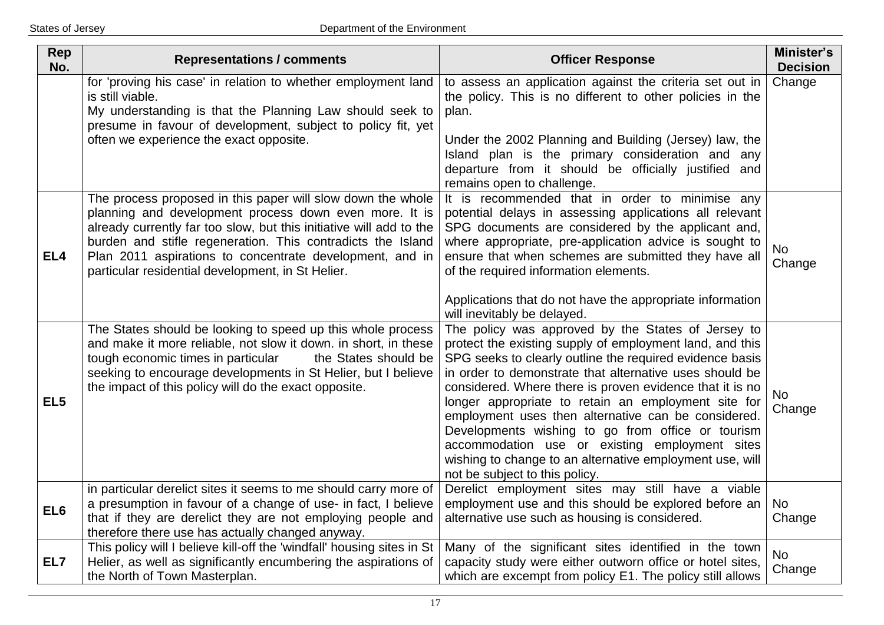| Rep<br>No.      | <b>Representations / comments</b>                                                                                                                                                                                                                                                                                                                                            | <b>Officer Response</b>                                                                                                                                                                                                                                                                                                                                                                                                                                                                                                                                                                                              | Minister's<br><b>Decision</b> |
|-----------------|------------------------------------------------------------------------------------------------------------------------------------------------------------------------------------------------------------------------------------------------------------------------------------------------------------------------------------------------------------------------------|----------------------------------------------------------------------------------------------------------------------------------------------------------------------------------------------------------------------------------------------------------------------------------------------------------------------------------------------------------------------------------------------------------------------------------------------------------------------------------------------------------------------------------------------------------------------------------------------------------------------|-------------------------------|
|                 | for 'proving his case' in relation to whether employment land<br>is still viable.<br>My understanding is that the Planning Law should seek to<br>presume in favour of development, subject to policy fit, yet<br>often we experience the exact opposite.                                                                                                                     | to assess an application against the criteria set out in<br>the policy. This is no different to other policies in the<br>plan.<br>Under the 2002 Planning and Building (Jersey) law, the                                                                                                                                                                                                                                                                                                                                                                                                                             | Change                        |
|                 |                                                                                                                                                                                                                                                                                                                                                                              | Island plan is the primary consideration and any<br>departure from it should be officially justified and<br>remains open to challenge.                                                                                                                                                                                                                                                                                                                                                                                                                                                                               |                               |
| EL <sub>4</sub> | The process proposed in this paper will slow down the whole<br>planning and development process down even more. It is<br>already currently far too slow, but this initiative will add to the<br>burden and stifle regeneration. This contradicts the Island<br>Plan 2011 aspirations to concentrate development, and in<br>particular residential development, in St Helier. | It is recommended that in order to minimise any<br>potential delays in assessing applications all relevant<br>SPG documents are considered by the applicant and,<br>where appropriate, pre-application advice is sought to<br>ensure that when schemes are submitted they have all<br>of the required information elements.                                                                                                                                                                                                                                                                                          | No<br>Change                  |
|                 |                                                                                                                                                                                                                                                                                                                                                                              | Applications that do not have the appropriate information<br>will inevitably be delayed.                                                                                                                                                                                                                                                                                                                                                                                                                                                                                                                             |                               |
| EL <sub>5</sub> | The States should be looking to speed up this whole process<br>and make it more reliable, not slow it down. in short, in these<br>tough economic times in particular<br>the States should be<br>seeking to encourage developments in St Helier, but I believe<br>the impact of this policy will do the exact opposite.                                                       | The policy was approved by the States of Jersey to<br>protect the existing supply of employment land, and this<br>SPG seeks to clearly outline the required evidence basis<br>in order to demonstrate that alternative uses should be<br>considered. Where there is proven evidence that it is no<br>longer appropriate to retain an employment site for<br>employment uses then alternative can be considered.<br>Developments wishing to go from office or tourism<br>accommodation use or existing employment sites<br>wishing to change to an alternative employment use, will<br>not be subject to this policy. | No<br>Change                  |
| EL6             | in particular derelict sites it seems to me should carry more of<br>a presumption in favour of a change of use- in fact, I believe<br>that if they are derelict they are not employing people and<br>therefore there use has actually changed anyway.                                                                                                                        | Derelict employment sites may still have a viable<br>employment use and this should be explored before an<br>alternative use such as housing is considered.                                                                                                                                                                                                                                                                                                                                                                                                                                                          | No<br>Change                  |
| EL7             | This policy will I believe kill-off the 'windfall' housing sites in St<br>Helier, as well as significantly encumbering the aspirations of<br>the North of Town Masterplan.                                                                                                                                                                                                   | Many of the significant sites identified in the town<br>capacity study were either outworn office or hotel sites,<br>which are excempt from policy E1. The policy still allows                                                                                                                                                                                                                                                                                                                                                                                                                                       | <b>No</b><br>Change           |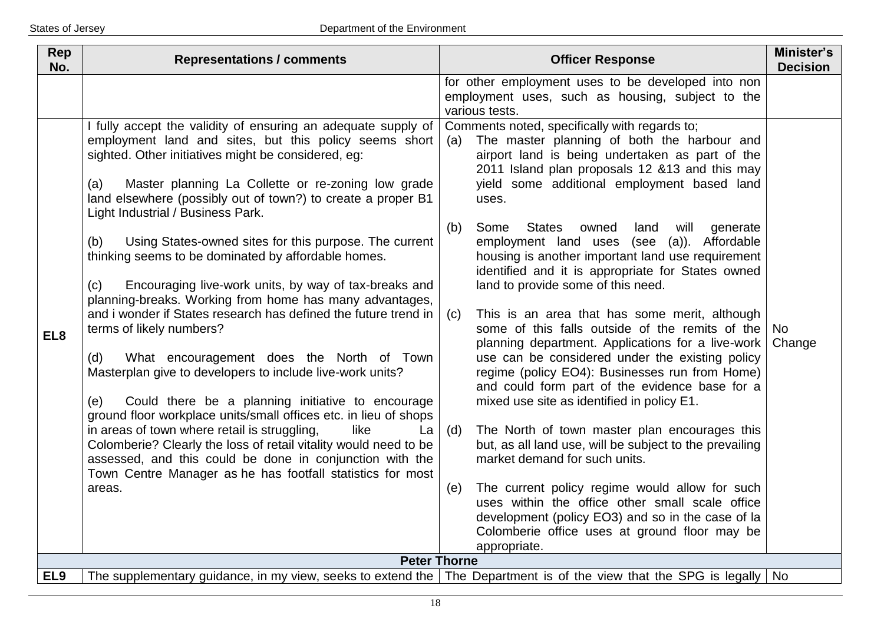| Rep<br>No.      | <b>Representations / comments</b>                                                                                                                                                                                                                                                                                                                                                                                                                                                                                                                                                                                                                                                                                                                                                                                                                                                                                                                                                                                                                                                                                                                        | <b>Officer Response</b>                                                                                                                                                                                                                                                                                                                                                                                                                                                                                                                                                                                                                                                                                                                                                                                                                                                                                                                                                                                                                                                                                                                                                                                                                       | Minister's<br><b>Decision</b> |
|-----------------|----------------------------------------------------------------------------------------------------------------------------------------------------------------------------------------------------------------------------------------------------------------------------------------------------------------------------------------------------------------------------------------------------------------------------------------------------------------------------------------------------------------------------------------------------------------------------------------------------------------------------------------------------------------------------------------------------------------------------------------------------------------------------------------------------------------------------------------------------------------------------------------------------------------------------------------------------------------------------------------------------------------------------------------------------------------------------------------------------------------------------------------------------------|-----------------------------------------------------------------------------------------------------------------------------------------------------------------------------------------------------------------------------------------------------------------------------------------------------------------------------------------------------------------------------------------------------------------------------------------------------------------------------------------------------------------------------------------------------------------------------------------------------------------------------------------------------------------------------------------------------------------------------------------------------------------------------------------------------------------------------------------------------------------------------------------------------------------------------------------------------------------------------------------------------------------------------------------------------------------------------------------------------------------------------------------------------------------------------------------------------------------------------------------------|-------------------------------|
|                 | I fully accept the validity of ensuring an adequate supply of                                                                                                                                                                                                                                                                                                                                                                                                                                                                                                                                                                                                                                                                                                                                                                                                                                                                                                                                                                                                                                                                                            | for other employment uses to be developed into non<br>employment uses, such as housing, subject to the<br>various tests.<br>Comments noted, specifically with regards to;                                                                                                                                                                                                                                                                                                                                                                                                                                                                                                                                                                                                                                                                                                                                                                                                                                                                                                                                                                                                                                                                     |                               |
| EL <sub>8</sub> | employment land and sites, but this policy seems short<br>sighted. Other initiatives might be considered, eg:<br>Master planning La Collette or re-zoning low grade<br>(a)<br>land elsewhere (possibly out of town?) to create a proper B1<br>Light Industrial / Business Park.<br>Using States-owned sites for this purpose. The current<br>(b)<br>thinking seems to be dominated by affordable homes.<br>Encouraging live-work units, by way of tax-breaks and<br>(c)<br>planning-breaks. Working from home has many advantages,<br>and i wonder if States research has defined the future trend in<br>terms of likely numbers?<br>What encouragement does the North of Town<br>(d)<br>Masterplan give to developers to include live-work units?<br>Could there be a planning initiative to encourage<br>(e)<br>ground floor workplace units/small offices etc. in lieu of shops<br>in areas of town where retail is struggling,<br>like<br>La<br>Colomberie? Clearly the loss of retail vitality would need to be<br>assessed, and this could be done in conjunction with the<br>Town Centre Manager as he has footfall statistics for most<br>areas. | The master planning of both the harbour and<br>(a)<br>airport land is being undertaken as part of the<br>2011 Island plan proposals 12 &13 and this may<br>yield some additional employment based land<br>uses.<br>(b)<br>Some<br><b>States</b><br>owned<br>land<br>will<br>generate<br>employment land uses (see (a)). Affordable<br>housing is another important land use requirement<br>identified and it is appropriate for States owned<br>land to provide some of this need.<br>This is an area that has some merit, although<br>(c)<br>some of this falls outside of the remits of the<br>planning department. Applications for a live-work<br>use can be considered under the existing policy<br>regime (policy EO4): Businesses run from Home)<br>and could form part of the evidence base for a<br>mixed use site as identified in policy E1.<br>(d)<br>The North of town master plan encourages this<br>but, as all land use, will be subject to the prevailing<br>market demand for such units.<br>The current policy regime would allow for such<br>(e)<br>uses within the office other small scale office<br>development (policy EO3) and so in the case of la<br>Colomberie office uses at ground floor may be<br>appropriate. | No<br>Change                  |
|                 | <b>Peter Thorne</b>                                                                                                                                                                                                                                                                                                                                                                                                                                                                                                                                                                                                                                                                                                                                                                                                                                                                                                                                                                                                                                                                                                                                      |                                                                                                                                                                                                                                                                                                                                                                                                                                                                                                                                                                                                                                                                                                                                                                                                                                                                                                                                                                                                                                                                                                                                                                                                                                               |                               |
| EL <sub>9</sub> | The supplementary guidance, in my view, seeks to extend the   The Department is of the view that the SPG is legally   No                                                                                                                                                                                                                                                                                                                                                                                                                                                                                                                                                                                                                                                                                                                                                                                                                                                                                                                                                                                                                                 |                                                                                                                                                                                                                                                                                                                                                                                                                                                                                                                                                                                                                                                                                                                                                                                                                                                                                                                                                                                                                                                                                                                                                                                                                                               |                               |
|                 |                                                                                                                                                                                                                                                                                                                                                                                                                                                                                                                                                                                                                                                                                                                                                                                                                                                                                                                                                                                                                                                                                                                                                          |                                                                                                                                                                                                                                                                                                                                                                                                                                                                                                                                                                                                                                                                                                                                                                                                                                                                                                                                                                                                                                                                                                                                                                                                                                               |                               |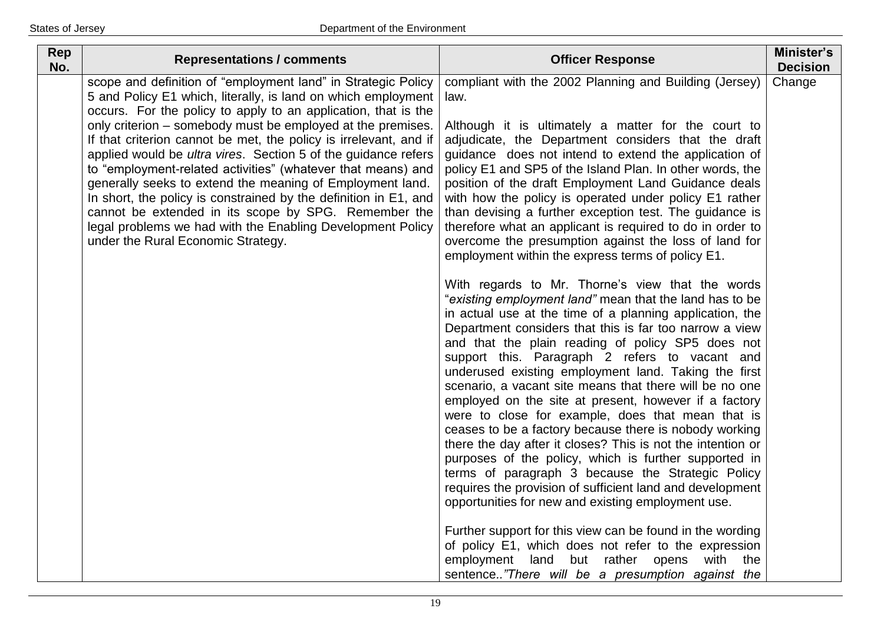| Rep<br>No. | <b>Representations / comments</b>                                                                                                                                                                                                                                                                                                                                                                                                                                                                                                                                                                                                                                                                                                                                   | <b>Officer Response</b>                                                                                                                                                                                                                                                                                                                                                                                                                                                                                                                                                                                                                                                                                                                                                                                                                                                                                                                                                                                                                                                                                                                                          | Minister's<br><b>Decision</b> |
|------------|---------------------------------------------------------------------------------------------------------------------------------------------------------------------------------------------------------------------------------------------------------------------------------------------------------------------------------------------------------------------------------------------------------------------------------------------------------------------------------------------------------------------------------------------------------------------------------------------------------------------------------------------------------------------------------------------------------------------------------------------------------------------|------------------------------------------------------------------------------------------------------------------------------------------------------------------------------------------------------------------------------------------------------------------------------------------------------------------------------------------------------------------------------------------------------------------------------------------------------------------------------------------------------------------------------------------------------------------------------------------------------------------------------------------------------------------------------------------------------------------------------------------------------------------------------------------------------------------------------------------------------------------------------------------------------------------------------------------------------------------------------------------------------------------------------------------------------------------------------------------------------------------------------------------------------------------|-------------------------------|
|            | scope and definition of "employment land" in Strategic Policy<br>5 and Policy E1 which, literally, is land on which employment<br>occurs. For the policy to apply to an application, that is the<br>only criterion – somebody must be employed at the premises.<br>If that criterion cannot be met, the policy is irrelevant, and if<br>applied would be ultra vires. Section 5 of the guidance refers<br>to "employment-related activities" (whatever that means) and<br>generally seeks to extend the meaning of Employment land.<br>In short, the policy is constrained by the definition in E1, and<br>cannot be extended in its scope by SPG. Remember the<br>legal problems we had with the Enabling Development Policy<br>under the Rural Economic Strategy. | compliant with the 2002 Planning and Building (Jersey)<br>law.<br>Although it is ultimately a matter for the court to<br>adjudicate, the Department considers that the draft<br>guidance does not intend to extend the application of<br>policy E1 and SP5 of the Island Plan. In other words, the<br>position of the draft Employment Land Guidance deals<br>with how the policy is operated under policy E1 rather<br>than devising a further exception test. The guidance is<br>therefore what an applicant is required to do in order to<br>overcome the presumption against the loss of land for<br>employment within the express terms of policy E1.                                                                                                                                                                                                                                                                                                                                                                                                                                                                                                       | Change                        |
|            |                                                                                                                                                                                                                                                                                                                                                                                                                                                                                                                                                                                                                                                                                                                                                                     | With regards to Mr. Thorne's view that the words<br>"existing employment land" mean that the land has to be<br>in actual use at the time of a planning application, the<br>Department considers that this is far too narrow a view<br>and that the plain reading of policy SP5 does not<br>support this. Paragraph 2 refers to vacant and<br>underused existing employment land. Taking the first<br>scenario, a vacant site means that there will be no one<br>employed on the site at present, however if a factory<br>were to close for example, does that mean that is<br>ceases to be a factory because there is nobody working<br>there the day after it closes? This is not the intention or<br>purposes of the policy, which is further supported in<br>terms of paragraph 3 because the Strategic Policy<br>requires the provision of sufficient land and development<br>opportunities for new and existing employment use.<br>Further support for this view can be found in the wording<br>of policy E1, which does not refer to the expression<br>employment land but rather opens<br>with<br>the<br>sentence"There will be a presumption against the |                               |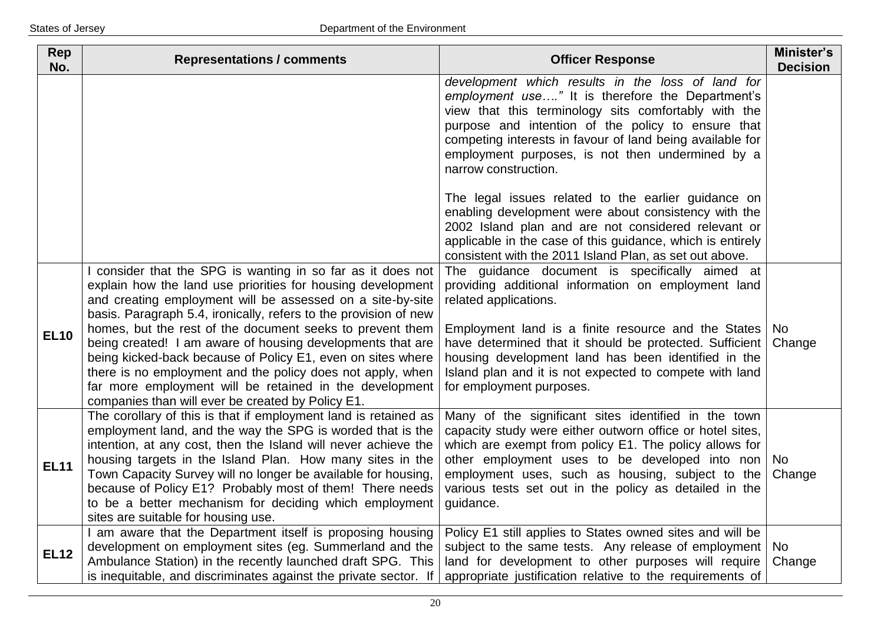| Rep<br>No.  | <b>Representations / comments</b>                                                                                                                                                                                                                                                                                                                                                                                                                                                                                                                                                                                                  | <b>Officer Response</b>                                                                                                                                                                                                                                                                                                                                                                             | Minister's<br><b>Decision</b> |
|-------------|------------------------------------------------------------------------------------------------------------------------------------------------------------------------------------------------------------------------------------------------------------------------------------------------------------------------------------------------------------------------------------------------------------------------------------------------------------------------------------------------------------------------------------------------------------------------------------------------------------------------------------|-----------------------------------------------------------------------------------------------------------------------------------------------------------------------------------------------------------------------------------------------------------------------------------------------------------------------------------------------------------------------------------------------------|-------------------------------|
|             |                                                                                                                                                                                                                                                                                                                                                                                                                                                                                                                                                                                                                                    | development which results in the loss of land for<br>employment use" It is therefore the Department's<br>view that this terminology sits comfortably with the<br>purpose and intention of the policy to ensure that<br>competing interests in favour of land being available for<br>employment purposes, is not then undermined by a<br>narrow construction.                                        |                               |
|             |                                                                                                                                                                                                                                                                                                                                                                                                                                                                                                                                                                                                                                    | The legal issues related to the earlier guidance on<br>enabling development were about consistency with the<br>2002 Island plan and are not considered relevant or<br>applicable in the case of this guidance, which is entirely<br>consistent with the 2011 Island Plan, as set out above.                                                                                                         |                               |
| <b>EL10</b> | consider that the SPG is wanting in so far as it does not<br>explain how the land use priorities for housing development<br>and creating employment will be assessed on a site-by-site<br>basis. Paragraph 5.4, ironically, refers to the provision of new<br>homes, but the rest of the document seeks to prevent them<br>being created! I am aware of housing developments that are<br>being kicked-back because of Policy E1, even on sites where<br>there is no employment and the policy does not apply, when<br>far more employment will be retained in the development<br>companies than will ever be created by Policy E1. | The guidance document is specifically aimed at<br>providing additional information on employment land<br>related applications.<br>Employment land is a finite resource and the States   No<br>have determined that it should be protected. Sufficient<br>housing development land has been identified in the<br>Island plan and it is not expected to compete with land<br>for employment purposes. | Change                        |
| <b>EL11</b> | The corollary of this is that if employment land is retained as<br>employment land, and the way the SPG is worded that is the<br>intention, at any cost, then the Island will never achieve the<br>housing targets in the Island Plan. How many sites in the<br>Town Capacity Survey will no longer be available for housing,<br>because of Policy E1? Probably most of them! There needs<br>to be a better mechanism for deciding which employment<br>sites are suitable for housing use.                                                                                                                                         | Many of the significant sites identified in the town<br>capacity study were either outworn office or hotel sites,<br>which are exempt from policy E1. The policy allows for<br>other employment uses to be developed into non<br>employment uses, such as housing, subject to the<br>various tests set out in the policy as detailed in the<br>guidance.                                            | No.<br>Change                 |
| <b>EL12</b> | I am aware that the Department itself is proposing housing<br>development on employment sites (eg. Summerland and the<br>Ambulance Station) in the recently launched draft SPG. This<br>is inequitable, and discriminates against the private sector. If                                                                                                                                                                                                                                                                                                                                                                           | Policy E1 still applies to States owned sites and will be<br>subject to the same tests. Any release of employment   No<br>land for development to other purposes will require<br>appropriate justification relative to the requirements of                                                                                                                                                          | Change                        |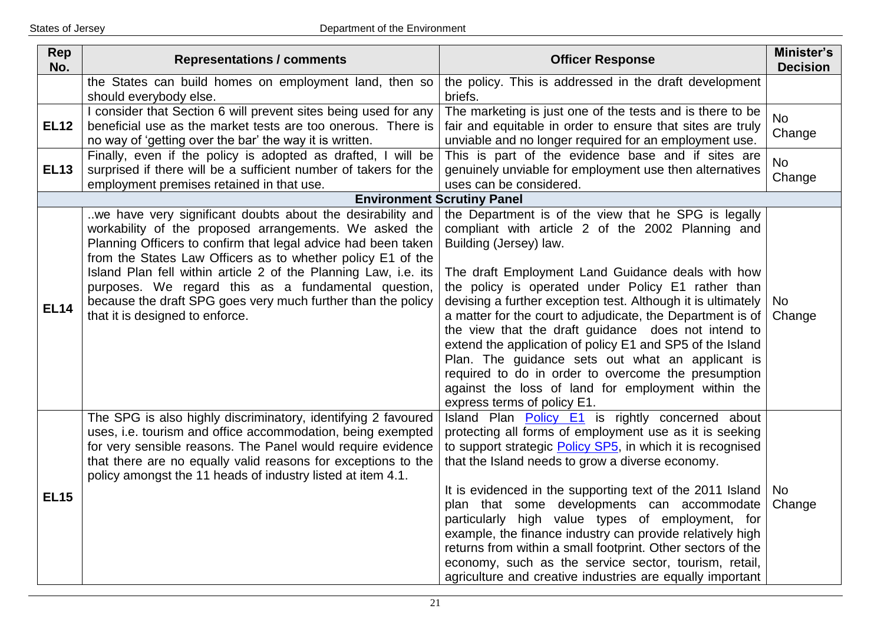| <b>Rep</b><br>No. | <b>Representations / comments</b>                                                                                                                                                                                                                                                                                                                                                                                                                                                 | <b>Officer Response</b>                                                                                                                                                                                                                                                                                                                                                                                                                                                                                                                                                                                                                                                                          | Minister's<br><b>Decision</b> |
|-------------------|-----------------------------------------------------------------------------------------------------------------------------------------------------------------------------------------------------------------------------------------------------------------------------------------------------------------------------------------------------------------------------------------------------------------------------------------------------------------------------------|--------------------------------------------------------------------------------------------------------------------------------------------------------------------------------------------------------------------------------------------------------------------------------------------------------------------------------------------------------------------------------------------------------------------------------------------------------------------------------------------------------------------------------------------------------------------------------------------------------------------------------------------------------------------------------------------------|-------------------------------|
|                   | the States can build homes on employment land, then so<br>should everybody else.                                                                                                                                                                                                                                                                                                                                                                                                  | the policy. This is addressed in the draft development<br>briefs.                                                                                                                                                                                                                                                                                                                                                                                                                                                                                                                                                                                                                                |                               |
| <b>EL12</b>       | I consider that Section 6 will prevent sites being used for any<br>beneficial use as the market tests are too onerous. There is<br>no way of 'getting over the bar' the way it is written.                                                                                                                                                                                                                                                                                        | The marketing is just one of the tests and is there to be<br>fair and equitable in order to ensure that sites are truly<br>unviable and no longer required for an employment use.                                                                                                                                                                                                                                                                                                                                                                                                                                                                                                                | <b>No</b><br>Change           |
| <b>EL13</b>       | Finally, even if the policy is adopted as drafted, I will be<br>surprised if there will be a sufficient number of takers for the<br>employment premises retained in that use.                                                                                                                                                                                                                                                                                                     | This is part of the evidence base and if sites are<br>genuinely unviable for employment use then alternatives<br>uses can be considered.                                                                                                                                                                                                                                                                                                                                                                                                                                                                                                                                                         | <b>No</b><br>Change           |
|                   | <b>Environment Scrutiny Panel</b>                                                                                                                                                                                                                                                                                                                                                                                                                                                 |                                                                                                                                                                                                                                                                                                                                                                                                                                                                                                                                                                                                                                                                                                  |                               |
| <b>EL14</b>       | we have very significant doubts about the desirability and<br>workability of the proposed arrangements. We asked the<br>Planning Officers to confirm that legal advice had been taken<br>from the States Law Officers as to whether policy E1 of the<br>Island Plan fell within article 2 of the Planning Law, i.e. its<br>purposes. We regard this as a fundamental question,<br>because the draft SPG goes very much further than the policy<br>that it is designed to enforce. | the Department is of the view that he SPG is legally<br>compliant with article 2 of the 2002 Planning and<br>Building (Jersey) law.<br>The draft Employment Land Guidance deals with how<br>the policy is operated under Policy E1 rather than<br>devising a further exception test. Although it is ultimately<br>a matter for the court to adjudicate, the Department is of<br>the view that the draft guidance does not intend to<br>extend the application of policy E1 and SP5 of the Island<br>Plan. The guidance sets out what an applicant is<br>required to do in order to overcome the presumption<br>against the loss of land for employment within the<br>express terms of policy E1. | No<br>Change                  |
| <b>EL15</b>       | The SPG is also highly discriminatory, identifying 2 favoured<br>uses, i.e. tourism and office accommodation, being exempted<br>for very sensible reasons. The Panel would require evidence<br>that there are no equally valid reasons for exceptions to the<br>policy amongst the 11 heads of industry listed at item 4.1.                                                                                                                                                       | Island Plan Policy E1 is rightly concerned about<br>protecting all forms of employment use as it is seeking<br>to support strategic Policy SP5, in which it is recognised<br>that the Island needs to grow a diverse economy.<br>It is evidenced in the supporting text of the 2011 Island<br>plan that some developments can accommodate<br>particularly high value types of employment, for<br>example, the finance industry can provide relatively high<br>returns from within a small footprint. Other sectors of the<br>economy, such as the service sector, tourism, retail,<br>agriculture and creative industries are equally important                                                  | No<br>Change                  |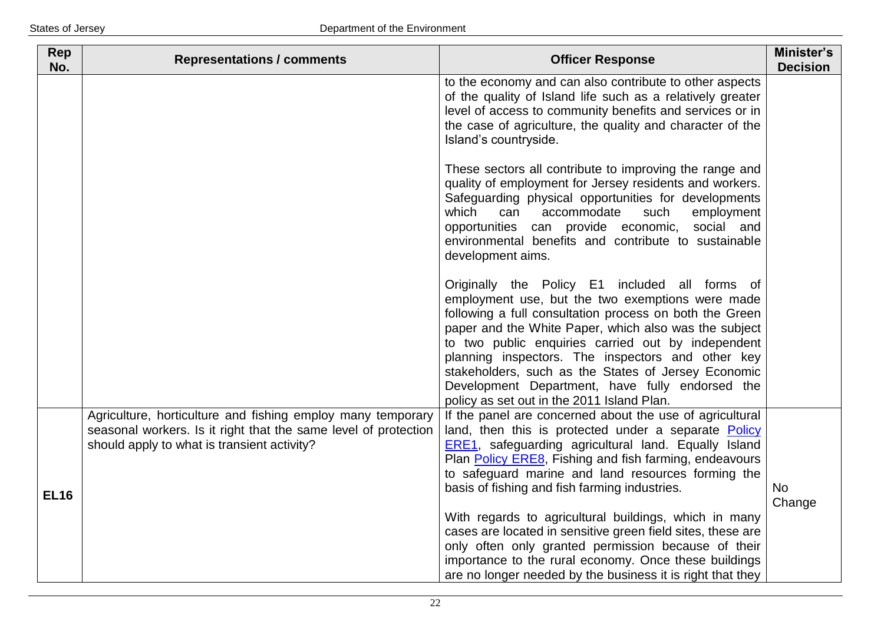| Rep<br>No.  | <b>Representations / comments</b>                                                                                                                                             | <b>Officer Response</b>                                                                                                                                                                                                                                                                                                                                                                                                                                                                   | Minister's<br><b>Decision</b> |
|-------------|-------------------------------------------------------------------------------------------------------------------------------------------------------------------------------|-------------------------------------------------------------------------------------------------------------------------------------------------------------------------------------------------------------------------------------------------------------------------------------------------------------------------------------------------------------------------------------------------------------------------------------------------------------------------------------------|-------------------------------|
|             |                                                                                                                                                                               | to the economy and can also contribute to other aspects<br>of the quality of Island life such as a relatively greater<br>level of access to community benefits and services or in<br>the case of agriculture, the quality and character of the<br>Island's countryside.                                                                                                                                                                                                                   |                               |
|             |                                                                                                                                                                               | These sectors all contribute to improving the range and<br>quality of employment for Jersey residents and workers.<br>Safeguarding physical opportunities for developments<br>which<br>can<br>accommodate<br>such<br>employment<br>opportunities<br>can provide economic,<br>social and<br>environmental benefits and contribute to sustainable<br>development aims.                                                                                                                      |                               |
|             |                                                                                                                                                                               | Originally the Policy E1 included all forms of<br>employment use, but the two exemptions were made<br>following a full consultation process on both the Green<br>paper and the White Paper, which also was the subject<br>to two public enquiries carried out by independent<br>planning inspectors. The inspectors and other key<br>stakeholders, such as the States of Jersey Economic<br>Development Department, have fully endorsed the<br>policy as set out in the 2011 Island Plan. |                               |
| <b>EL16</b> | Agriculture, horticulture and fishing employ many temporary<br>seasonal workers. Is it right that the same level of protection<br>should apply to what is transient activity? | If the panel are concerned about the use of agricultural<br>land, then this is protected under a separate Policy<br><b>ERE1</b> , safeguarding agricultural land. Equally Island<br>Plan Policy ERE8, Fishing and fish farming, endeavours<br>to safeguard marine and land resources forming the<br>basis of fishing and fish farming industries.                                                                                                                                         | <b>No</b><br>Change           |
|             |                                                                                                                                                                               | With regards to agricultural buildings, which in many<br>cases are located in sensitive green field sites, these are<br>only often only granted permission because of their<br>importance to the rural economy. Once these buildings<br>are no longer needed by the business it is right that they                                                                                                                                                                                        |                               |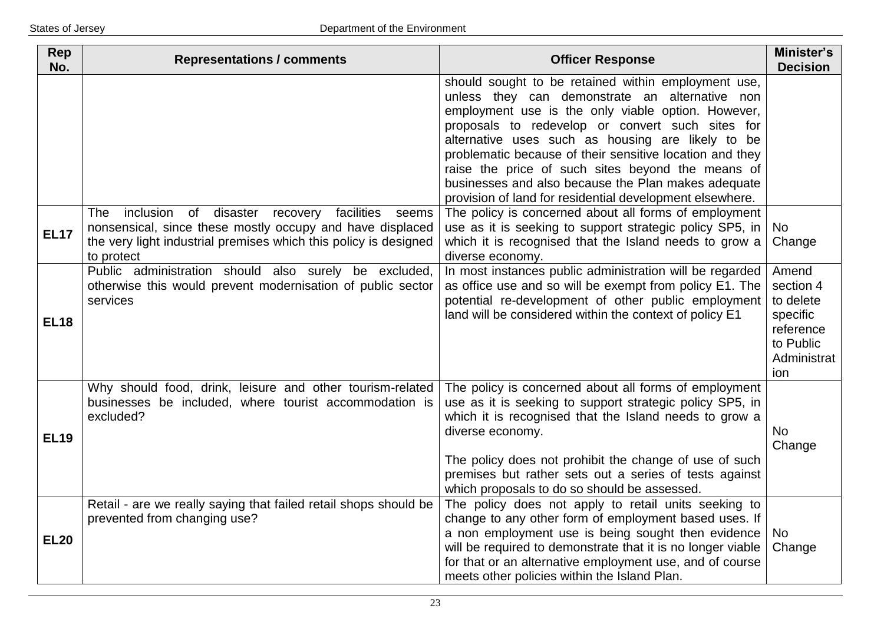| Rep<br>No.  | <b>Representations / comments</b>                                                                                                                                                                                    | <b>Officer Response</b>                                                                                                                                                                                                                                                                                                                                                                                                                                                                                  | Minister's<br><b>Decision</b>                                                               |
|-------------|----------------------------------------------------------------------------------------------------------------------------------------------------------------------------------------------------------------------|----------------------------------------------------------------------------------------------------------------------------------------------------------------------------------------------------------------------------------------------------------------------------------------------------------------------------------------------------------------------------------------------------------------------------------------------------------------------------------------------------------|---------------------------------------------------------------------------------------------|
|             |                                                                                                                                                                                                                      | should sought to be retained within employment use,<br>unless they can demonstrate an alternative non<br>employment use is the only viable option. However,<br>proposals to redevelop or convert such sites for<br>alternative uses such as housing are likely to be<br>problematic because of their sensitive location and they<br>raise the price of such sites beyond the means of<br>businesses and also because the Plan makes adequate<br>provision of land for residential development elsewhere. |                                                                                             |
| <b>EL17</b> | The<br>inclusion<br>of<br>disaster<br>facilities<br>recovery<br>seems<br>nonsensical, since these mostly occupy and have displaced<br>the very light industrial premises which this policy is designed<br>to protect | The policy is concerned about all forms of employment<br>use as it is seeking to support strategic policy SP5, in<br>which it is recognised that the Island needs to grow a<br>diverse economy.                                                                                                                                                                                                                                                                                                          | No<br>Change                                                                                |
| <b>EL18</b> | Public administration should also surely be excluded,<br>otherwise this would prevent modernisation of public sector<br>services                                                                                     | In most instances public administration will be regarded<br>as office use and so will be exempt from policy E1. The<br>potential re-development of other public employment<br>land will be considered within the context of policy E1                                                                                                                                                                                                                                                                    | Amend<br>section 4<br>to delete<br>specific<br>reference<br>to Public<br>Administrat<br>ion |
| <b>EL19</b> | Why should food, drink, leisure and other tourism-related<br>businesses be included, where tourist accommodation is<br>excluded?                                                                                     | The policy is concerned about all forms of employment<br>use as it is seeking to support strategic policy SP5, in<br>which it is recognised that the Island needs to grow a<br>diverse economy.<br>The policy does not prohibit the change of use of such<br>premises but rather sets out a series of tests against<br>which proposals to do so should be assessed.                                                                                                                                      | <b>No</b><br>Change                                                                         |
| <b>EL20</b> | Retail - are we really saying that failed retail shops should be<br>prevented from changing use?                                                                                                                     | The policy does not apply to retail units seeking to<br>change to any other form of employment based uses. If<br>a non employment use is being sought then evidence<br>will be required to demonstrate that it is no longer viable<br>for that or an alternative employment use, and of course<br>meets other policies within the Island Plan.                                                                                                                                                           | No<br>Change                                                                                |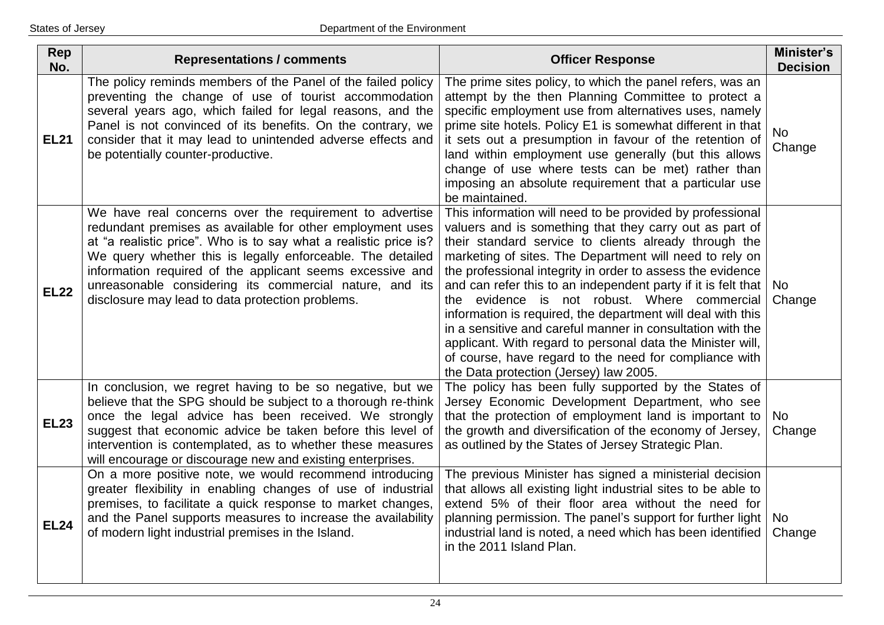| Rep<br>No.  | <b>Representations / comments</b>                                                                                                                                                                                                                                                                                                                                                                                                  | <b>Officer Response</b>                                                                                                                                                                                                                                                                                                                                                                                                                                                                                                                                                                                                                                                                                                | Minister's<br><b>Decision</b> |
|-------------|------------------------------------------------------------------------------------------------------------------------------------------------------------------------------------------------------------------------------------------------------------------------------------------------------------------------------------------------------------------------------------------------------------------------------------|------------------------------------------------------------------------------------------------------------------------------------------------------------------------------------------------------------------------------------------------------------------------------------------------------------------------------------------------------------------------------------------------------------------------------------------------------------------------------------------------------------------------------------------------------------------------------------------------------------------------------------------------------------------------------------------------------------------------|-------------------------------|
| <b>EL21</b> | The policy reminds members of the Panel of the failed policy<br>preventing the change of use of tourist accommodation<br>several years ago, which failed for legal reasons, and the<br>Panel is not convinced of its benefits. On the contrary, we<br>consider that it may lead to unintended adverse effects and<br>be potentially counter-productive.                                                                            | The prime sites policy, to which the panel refers, was an<br>attempt by the then Planning Committee to protect a<br>specific employment use from alternatives uses, namely<br>prime site hotels. Policy E1 is somewhat different in that<br>it sets out a presumption in favour of the retention of<br>land within employment use generally (but this allows<br>change of use where tests can be met) rather than<br>imposing an absolute requirement that a particular use<br>be maintained.                                                                                                                                                                                                                          | <b>No</b><br>Change           |
| <b>EL22</b> | We have real concerns over the requirement to advertise<br>redundant premises as available for other employment uses<br>at "a realistic price". Who is to say what a realistic price is?<br>We query whether this is legally enforceable. The detailed<br>information required of the applicant seems excessive and<br>unreasonable considering its commercial nature, and its<br>disclosure may lead to data protection problems. | This information will need to be provided by professional<br>valuers and is something that they carry out as part of<br>their standard service to clients already through the<br>marketing of sites. The Department will need to rely on<br>the professional integrity in order to assess the evidence<br>and can refer this to an independent party if it is felt that<br>the evidence is not robust. Where commercial<br>information is required, the department will deal with this<br>in a sensitive and careful manner in consultation with the<br>applicant. With regard to personal data the Minister will,<br>of course, have regard to the need for compliance with<br>the Data protection (Jersey) law 2005. | No<br>Change                  |
| <b>EL23</b> | In conclusion, we regret having to be so negative, but we<br>believe that the SPG should be subject to a thorough re-think<br>once the legal advice has been received. We strongly<br>suggest that economic advice be taken before this level of<br>intervention is contemplated, as to whether these measures<br>will encourage or discourage new and existing enterprises.                                                       | The policy has been fully supported by the States of<br>Jersey Economic Development Department, who see<br>that the protection of employment land is important to<br>the growth and diversification of the economy of Jersey,<br>as outlined by the States of Jersey Strategic Plan.                                                                                                                                                                                                                                                                                                                                                                                                                                   | No.<br>Change                 |
| <b>EL24</b> | On a more positive note, we would recommend introducing<br>greater flexibility in enabling changes of use of industrial<br>premises, to facilitate a quick response to market changes,<br>and the Panel supports measures to increase the availability<br>of modern light industrial premises in the Island.                                                                                                                       | The previous Minister has signed a ministerial decision<br>that allows all existing light industrial sites to be able to<br>extend 5% of their floor area without the need for<br>planning permission. The panel's support for further light   No<br>industrial land is noted, a need which has been identified<br>in the 2011 Island Plan.                                                                                                                                                                                                                                                                                                                                                                            | Change                        |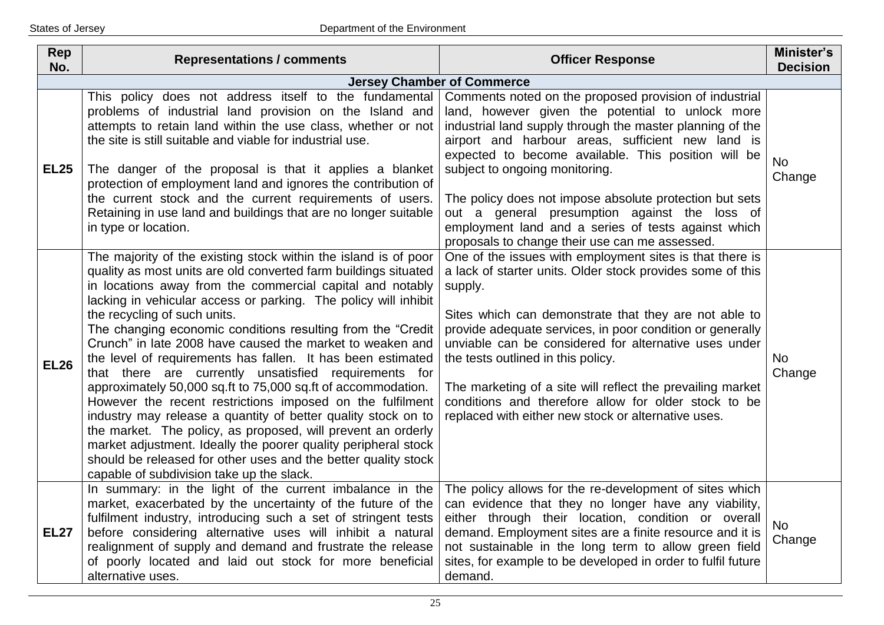| <b>Rep</b><br>No. | <b>Representations / comments</b>                                                                                                                                                                                                                                                                                                                                                                                                                                                                                                                                                                                                                                                                                                                                                                                                                                                                                                                                                                      | <b>Officer Response</b>                                                                                                                                                                                                                                                                                                                                                                                                                                                                                                                    | Minister's<br><b>Decision</b> |  |  |
|-------------------|--------------------------------------------------------------------------------------------------------------------------------------------------------------------------------------------------------------------------------------------------------------------------------------------------------------------------------------------------------------------------------------------------------------------------------------------------------------------------------------------------------------------------------------------------------------------------------------------------------------------------------------------------------------------------------------------------------------------------------------------------------------------------------------------------------------------------------------------------------------------------------------------------------------------------------------------------------------------------------------------------------|--------------------------------------------------------------------------------------------------------------------------------------------------------------------------------------------------------------------------------------------------------------------------------------------------------------------------------------------------------------------------------------------------------------------------------------------------------------------------------------------------------------------------------------------|-------------------------------|--|--|
|                   | <b>Jersey Chamber of Commerce</b>                                                                                                                                                                                                                                                                                                                                                                                                                                                                                                                                                                                                                                                                                                                                                                                                                                                                                                                                                                      |                                                                                                                                                                                                                                                                                                                                                                                                                                                                                                                                            |                               |  |  |
| <b>EL25</b>       | This policy does not address itself to the fundamental<br>problems of industrial land provision on the Island and<br>attempts to retain land within the use class, whether or not<br>the site is still suitable and viable for industrial use.<br>The danger of the proposal is that it applies a blanket<br>protection of employment land and ignores the contribution of<br>the current stock and the current requirements of users.<br>Retaining in use land and buildings that are no longer suitable<br>in type or location.                                                                                                                                                                                                                                                                                                                                                                                                                                                                      | Comments noted on the proposed provision of industrial<br>land, however given the potential to unlock more<br>industrial land supply through the master planning of the<br>airport and harbour areas, sufficient new land is<br>expected to become available. This position will be<br>subject to ongoing monitoring.<br>The policy does not impose absolute protection but sets<br>out a general presumption against the loss of<br>employment land and a series of tests against which<br>proposals to change their use can me assessed. | <b>No</b><br>Change           |  |  |
| <b>EL26</b>       | The majority of the existing stock within the island is of poor<br>quality as most units are old converted farm buildings situated<br>in locations away from the commercial capital and notably<br>lacking in vehicular access or parking. The policy will inhibit<br>the recycling of such units.<br>The changing economic conditions resulting from the "Credit"<br>Crunch" in late 2008 have caused the market to weaken and<br>the level of requirements has fallen. It has been estimated<br>that there are currently unsatisfied requirements for<br>approximately 50,000 sq.ft to 75,000 sq.ft of accommodation.<br>However the recent restrictions imposed on the fulfilment<br>industry may release a quantity of better quality stock on to<br>the market. The policy, as proposed, will prevent an orderly<br>market adjustment. Ideally the poorer quality peripheral stock<br>should be released for other uses and the better quality stock<br>capable of subdivision take up the slack. | One of the issues with employment sites is that there is<br>a lack of starter units. Older stock provides some of this<br>supply.<br>Sites which can demonstrate that they are not able to<br>provide adequate services, in poor condition or generally<br>unviable can be considered for alternative uses under<br>the tests outlined in this policy.<br>The marketing of a site will reflect the prevailing market<br>conditions and therefore allow for older stock to be<br>replaced with either new stock or alternative uses.        | <b>No</b><br>Change           |  |  |
| <b>EL27</b>       | In summary: in the light of the current imbalance in the<br>market, exacerbated by the uncertainty of the future of the<br>fulfilment industry, introducing such a set of stringent tests<br>before considering alternative uses will inhibit a natural<br>realignment of supply and demand and frustrate the release<br>of poorly located and laid out stock for more beneficial<br>alternative uses.                                                                                                                                                                                                                                                                                                                                                                                                                                                                                                                                                                                                 | The policy allows for the re-development of sites which<br>can evidence that they no longer have any viability,<br>either through their location, condition or overall<br>demand. Employment sites are a finite resource and it is<br>not sustainable in the long term to allow green field<br>sites, for example to be developed in order to fulfil future<br>demand.                                                                                                                                                                     | <b>No</b><br>Change           |  |  |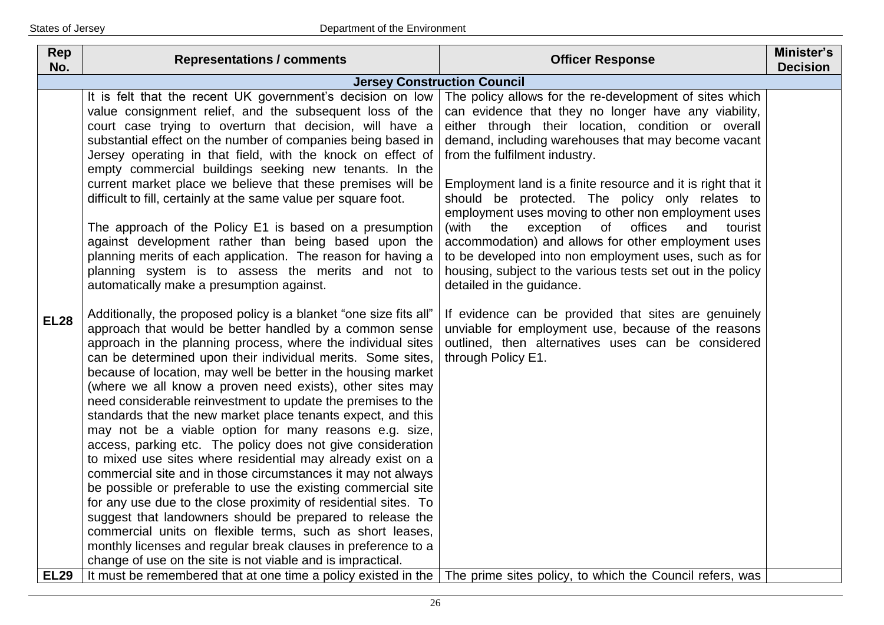| Rep<br>No.  | <b>Representations / comments</b>                                                                                                                                                                                                                                                                                                                                                                                                                                                                                                                                                                                                                                                                                                                                                                                                                                                                                                                                                                                                                                                                                                                                                                                                                                                                                                                                                                                                                                                                                                                                                                                                                                                                                                                                                                                                                                                                                                                                                       | <b>Officer Response</b>                                                                                                                                                                                                                                                                                                                                                                                                                                                                                                                                                                                                                                                                                                                                                                                                                                                                                         | Minister's<br><b>Decision</b> |
|-------------|-----------------------------------------------------------------------------------------------------------------------------------------------------------------------------------------------------------------------------------------------------------------------------------------------------------------------------------------------------------------------------------------------------------------------------------------------------------------------------------------------------------------------------------------------------------------------------------------------------------------------------------------------------------------------------------------------------------------------------------------------------------------------------------------------------------------------------------------------------------------------------------------------------------------------------------------------------------------------------------------------------------------------------------------------------------------------------------------------------------------------------------------------------------------------------------------------------------------------------------------------------------------------------------------------------------------------------------------------------------------------------------------------------------------------------------------------------------------------------------------------------------------------------------------------------------------------------------------------------------------------------------------------------------------------------------------------------------------------------------------------------------------------------------------------------------------------------------------------------------------------------------------------------------------------------------------------------------------------------------------|-----------------------------------------------------------------------------------------------------------------------------------------------------------------------------------------------------------------------------------------------------------------------------------------------------------------------------------------------------------------------------------------------------------------------------------------------------------------------------------------------------------------------------------------------------------------------------------------------------------------------------------------------------------------------------------------------------------------------------------------------------------------------------------------------------------------------------------------------------------------------------------------------------------------|-------------------------------|
|             | <b>Jersey Construction Council</b>                                                                                                                                                                                                                                                                                                                                                                                                                                                                                                                                                                                                                                                                                                                                                                                                                                                                                                                                                                                                                                                                                                                                                                                                                                                                                                                                                                                                                                                                                                                                                                                                                                                                                                                                                                                                                                                                                                                                                      |                                                                                                                                                                                                                                                                                                                                                                                                                                                                                                                                                                                                                                                                                                                                                                                                                                                                                                                 |                               |
| <b>EL28</b> | It is felt that the recent UK government's decision on low<br>value consignment relief, and the subsequent loss of the<br>court case trying to overturn that decision, will have a<br>substantial effect on the number of companies being based in<br>Jersey operating in that field, with the knock on effect of<br>empty commercial buildings seeking new tenants. In the<br>current market place we believe that these premises will be<br>difficult to fill, certainly at the same value per square foot.<br>The approach of the Policy E1 is based on a presumption<br>against development rather than being based upon the<br>planning merits of each application. The reason for having a<br>planning system is to assess the merits and not to<br>automatically make a presumption against.<br>Additionally, the proposed policy is a blanket "one size fits all"<br>approach that would be better handled by a common sense<br>approach in the planning process, where the individual sites<br>can be determined upon their individual merits. Some sites,<br>because of location, may well be better in the housing market<br>(where we all know a proven need exists), other sites may<br>need considerable reinvestment to update the premises to the<br>standards that the new market place tenants expect, and this<br>may not be a viable option for many reasons e.g. size,<br>access, parking etc. The policy does not give consideration<br>to mixed use sites where residential may already exist on a<br>commercial site and in those circumstances it may not always<br>be possible or preferable to use the existing commercial site<br>for any use due to the close proximity of residential sites. To<br>suggest that landowners should be prepared to release the<br>commercial units on flexible terms, such as short leases,<br>monthly licenses and regular break clauses in preference to a<br>change of use on the site is not viable and is impractical. | The policy allows for the re-development of sites which<br>can evidence that they no longer have any viability,<br>either through their location, condition or overall<br>demand, including warehouses that may become vacant<br>from the fulfilment industry.<br>Employment land is a finite resource and it is right that it<br>should be protected. The policy only relates to<br>employment uses moving to other non employment uses<br>(with<br>exception<br>of<br>offices<br>the<br>and<br>tourist<br>accommodation) and allows for other employment uses<br>to be developed into non employment uses, such as for<br>housing, subject to the various tests set out in the policy<br>detailed in the guidance.<br>If evidence can be provided that sites are genuinely<br>unviable for employment use, because of the reasons<br>outlined, then alternatives uses can be considered<br>through Policy E1. |                               |
| <b>EL29</b> | It must be remembered that at one time a policy existed in the The prime sites policy, to which the Council refers, was                                                                                                                                                                                                                                                                                                                                                                                                                                                                                                                                                                                                                                                                                                                                                                                                                                                                                                                                                                                                                                                                                                                                                                                                                                                                                                                                                                                                                                                                                                                                                                                                                                                                                                                                                                                                                                                                 |                                                                                                                                                                                                                                                                                                                                                                                                                                                                                                                                                                                                                                                                                                                                                                                                                                                                                                                 |                               |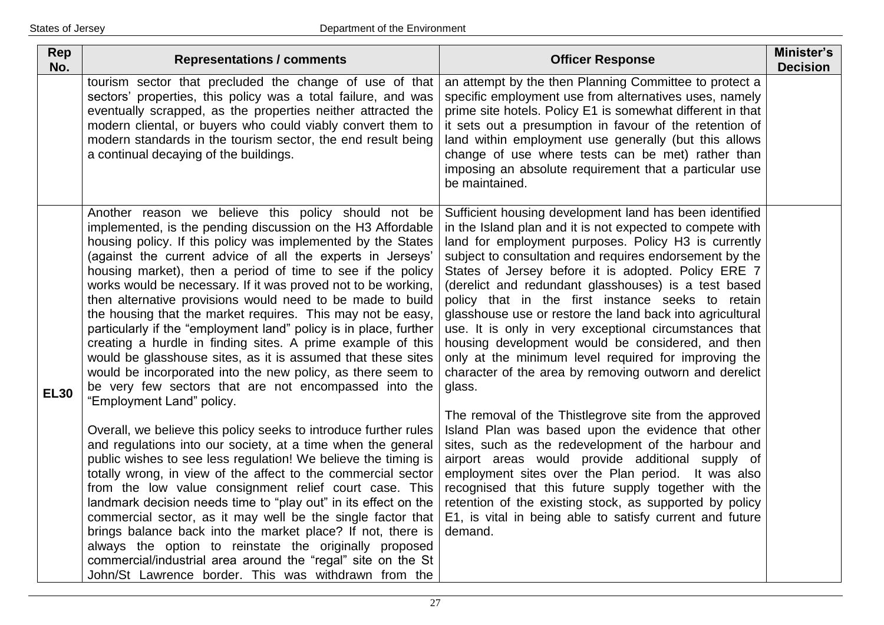| Rep<br>No.  | <b>Representations / comments</b>                                                                                                                                                                                                                                                                                                                                                                                                                                                                                                                                                                                                                                                                                                                                                                                                                                                                                                                                                                                                                                                                                                             | <b>Officer Response</b>                                                                                                                                                                                                                                                                                                                                                                                                                                                                                                                                                                                                                                                                                                                                                                                                                                                                                                                                                                                 | Minister's<br><b>Decision</b> |
|-------------|-----------------------------------------------------------------------------------------------------------------------------------------------------------------------------------------------------------------------------------------------------------------------------------------------------------------------------------------------------------------------------------------------------------------------------------------------------------------------------------------------------------------------------------------------------------------------------------------------------------------------------------------------------------------------------------------------------------------------------------------------------------------------------------------------------------------------------------------------------------------------------------------------------------------------------------------------------------------------------------------------------------------------------------------------------------------------------------------------------------------------------------------------|---------------------------------------------------------------------------------------------------------------------------------------------------------------------------------------------------------------------------------------------------------------------------------------------------------------------------------------------------------------------------------------------------------------------------------------------------------------------------------------------------------------------------------------------------------------------------------------------------------------------------------------------------------------------------------------------------------------------------------------------------------------------------------------------------------------------------------------------------------------------------------------------------------------------------------------------------------------------------------------------------------|-------------------------------|
|             | tourism sector that precluded the change of use of that<br>sectors' properties, this policy was a total failure, and was<br>eventually scrapped, as the properties neither attracted the<br>modern cliental, or buyers who could viably convert them to<br>modern standards in the tourism sector, the end result being<br>a continual decaying of the buildings.                                                                                                                                                                                                                                                                                                                                                                                                                                                                                                                                                                                                                                                                                                                                                                             | an attempt by the then Planning Committee to protect a<br>specific employment use from alternatives uses, namely<br>prime site hotels. Policy E1 is somewhat different in that<br>it sets out a presumption in favour of the retention of<br>land within employment use generally (but this allows<br>change of use where tests can be met) rather than<br>imposing an absolute requirement that a particular use<br>be maintained.                                                                                                                                                                                                                                                                                                                                                                                                                                                                                                                                                                     |                               |
| <b>EL30</b> | Another reason we believe this policy should not be<br>implemented, is the pending discussion on the H3 Affordable<br>housing policy. If this policy was implemented by the States<br>(against the current advice of all the experts in Jerseys'<br>housing market), then a period of time to see if the policy<br>works would be necessary. If it was proved not to be working,<br>then alternative provisions would need to be made to build<br>the housing that the market requires. This may not be easy,<br>particularly if the "employment land" policy is in place, further<br>creating a hurdle in finding sites. A prime example of this<br>would be glasshouse sites, as it is assumed that these sites<br>would be incorporated into the new policy, as there seem to<br>be very few sectors that are not encompassed into the<br>"Employment Land" policy.<br>Overall, we believe this policy seeks to introduce further rules<br>and regulations into our society, at a time when the general<br>public wishes to see less regulation! We believe the timing is<br>totally wrong, in view of the affect to the commercial sector | Sufficient housing development land has been identified<br>in the Island plan and it is not expected to compete with<br>land for employment purposes. Policy H3 is currently<br>subject to consultation and requires endorsement by the<br>States of Jersey before it is adopted. Policy ERE 7<br>(derelict and redundant glasshouses) is a test based<br>policy that in the first instance seeks to retain<br>glasshouse use or restore the land back into agricultural<br>use. It is only in very exceptional circumstances that<br>housing development would be considered, and then<br>only at the minimum level required for improving the<br>character of the area by removing outworn and derelict<br>glass.<br>The removal of the Thistlegrove site from the approved<br>Island Plan was based upon the evidence that other<br>sites, such as the redevelopment of the harbour and<br>airport areas would provide additional supply of<br>employment sites over the Plan period.<br>It was also |                               |
|             | from the low value consignment relief court case. This<br>landmark decision needs time to "play out" in its effect on the<br>commercial sector, as it may well be the single factor that<br>brings balance back into the market place? If not, there is<br>always the option to reinstate the originally proposed<br>commercial/industrial area around the "regal" site on the St<br>John/St Lawrence border. This was withdrawn from the                                                                                                                                                                                                                                                                                                                                                                                                                                                                                                                                                                                                                                                                                                     | recognised that this future supply together with the<br>retention of the existing stock, as supported by policy<br>E1, is vital in being able to satisfy current and future<br>demand.                                                                                                                                                                                                                                                                                                                                                                                                                                                                                                                                                                                                                                                                                                                                                                                                                  |                               |